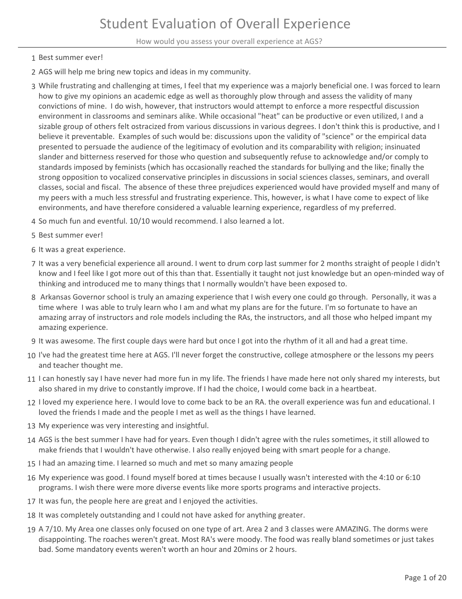How would you assess your overall experience at AGS?

- 1 Best summer ever!
- 2 AGS will help me bring new topics and ideas in my community.
- While frustrating and challenging at times, I feel that my experience was a majorly beneficial one. I was forced to learn 3 how to give my opinions an academic edge as well as thoroughly plow through and assess the validity of many convictions of mine. I do wish, however, that instructors would attempt to enforce a more respectful discussion environment in classrooms and seminars alike. While occasional "heat" can be productive or even utilized, I and a sizable group of others felt ostracized from various discussions in various degrees. I don't think this is productive, and I believe it preventable. Examples of such would be: discussions upon the validity of "science" or the empirical data presented to persuade the audience of the legitimacy of evolution and its comparability with religion; insinuated slander and bitterness reserved for those who question and subsequently refuse to acknowledge and/or comply to standards imposed by feminists (which has occasionally reached the standards for bullying and the like; finally the strong opposition to vocalized conservative principles in discussions in social sciences classes, seminars, and overall classes, social and fiscal. The absence of these three prejudices experienced would have provided myself and many of my peers with a much less stressful and frustrating experience. This, however, is what I have come to expect of like environments, and have therefore considered a valuable learning experience, regardless of my preferred.
- 4 So much fun and eventful. 10/10 would recommend. I also learned a lot.
- 5 Best summer ever!
- 6 It was a great experience.
- 7 It was a very beneficial experience all around. I went to drum corp last summer for 2 months straight of people I didn't know and I feel like I got more out of this than that. Essentially it taught not just knowledge but an open-minded way of thinking and introduced me to many things that I normally wouldn't have been exposed to.
- 8 Arkansas Governor school is truly an amazing experience that I wish every one could go through. Personally, it was a time where I was able to truly learn who I am and what my plans are for the future. I'm so fortunate to have an amazing array of instructors and role models including the RAs, the instructors, and all those who helped impant my amazing experience.
- 9 It was awesome. The first couple days were hard but once I got into the rhythm of it all and had a great time.
- 10 I've had the greatest time here at AGS. I'll never forget the constructive, college atmosphere or the lessons my peers and teacher thought me.
- 11 I can honestly say I have never had more fun in my life. The friends I have made here not only shared my interests, but also shared in my drive to constantly improve. If I had the choice, I would come back in a heartbeat.
- 12 I loved my experience here. I would love to come back to be an RA. the overall experience was fun and educational. I loved the friends I made and the people I met as well as the things I have learned.
- 13 My experience was very interesting and insightful.
- 14 AGS is the best summer I have had for years. Even though I didn't agree with the rules sometimes, it still allowed to make friends that I wouldn't have otherwise. I also really enjoyed being with smart people for a change.
- 15 I had an amazing time. I learned so much and met so many amazing people
- My experience was good. I found myself bored at times because I usually wasn't interested with the 4:10 or 6:10 16 programs. I wish there were more diverse events like more sports programs and interactive projects.
- 17 It was fun, the people here are great and I enjoyed the activities.
- 18 It was completely outstanding and I could not have asked for anything greater.
- 19 A 7/10. My Area one classes only focused on one type of art. Area 2 and 3 classes were AMAZING. The dorms were disappointing. The roaches weren't great. Most RA's were moody. The food was really bland sometimes or just takes bad. Some mandatory events weren't worth an hour and 20mins or 2 hours.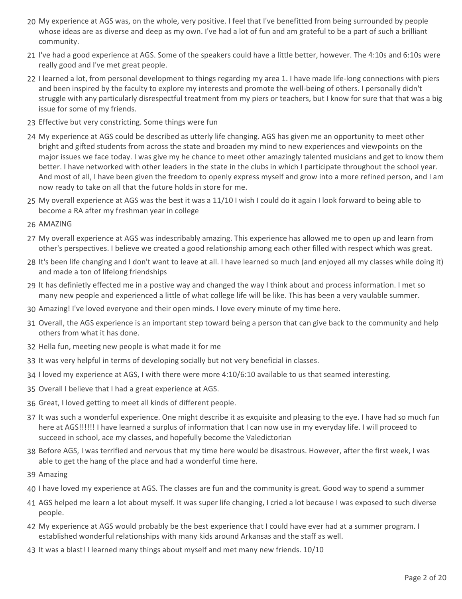- 20 My experience at AGS was, on the whole, very positive. I feel that I've benefitted from being surrounded by people whose ideas are as diverse and deep as my own. I've had a lot of fun and am grateful to be a part of such a brilliant community.
- 21 I've had a good experience at AGS. Some of the speakers could have a little better, however. The 4:10s and 6:10s were really good and I've met great people.
- 22 I learned a lot, from personal development to things regarding my area 1. I have made life-long connections with piers and been inspired by the faculty to explore my interests and promote the well-being of others. I personally didn't struggle with any particularly disrespectful treatment from my piers or teachers, but I know for sure that that was a big issue for some of my friends.
- 23 Effective but very constricting. Some things were fun
- My experience at AGS could be described as utterly life changing. AGS has given me an opportunity to meet other 24 bright and gifted students from across the state and broaden my mind to new experiences and viewpoints on the major issues we face today. I was give my he chance to meet other amazingly talented musicians and get to know them better. I have networked with other leaders in the state in the clubs in which I participate throughout the school year. And most of all, I have been given the freedom to openly express myself and grow into a more refined person, and I am now ready to take on all that the future holds in store for me.
- My overall experience at AGS was the best it was a 11/10 I wish I could do it again I look forward to being able to 25 become a RA after my freshman year in college
- 26 AMAZING
- My overall experience at AGS was indescribably amazing. This experience has allowed me to open up and learn from 27 other's perspectives. I believe we created a good relationship among each other filled with respect which was great.
- 28 It's been life changing and I don't want to leave at all. I have learned so much (and enjoyed all my classes while doing it) and made a ton of lifelong friendships
- 29 It has definietly effected me in a postive way and changed the way I think about and process information. I met so many new people and experienced a little of what college life will be like. This has been a very vaulable summer.
- 30 Amazing! I've loved everyone and their open minds. I love every minute of my time here.
- 31 Overall, the AGS experience is an important step toward being a person that can give back to the community and help others from what it has done.
- 32 Hella fun, meeting new people is what made it for me
- 33 It was very helpful in terms of developing socially but not very beneficial in classes.
- 34 I loved my experience at AGS, I with there were more 4:10/6:10 available to us that seamed interesting.
- 35 Overall I believe that I had a great experience at AGS.
- 36 Great, I loved getting to meet all kinds of different people.
- 37 It was such a wonderful experience. One might describe it as exquisite and pleasing to the eye. I have had so much fun here at AGS!!!!!! I have learned a surplus of information that I can now use in my everyday life. I will proceed to succeed in school, ace my classes, and hopefully become the Valedictorian
- 38 Before AGS, I was terrified and nervous that my time here would be disastrous. However, after the first week, I was able to get the hang of the place and had a wonderful time here.
- 39 Amazing
- 40 I have loved my experience at AGS. The classes are fun and the community is great. Good way to spend a summer
- AGS helped me learn a lot about myself. It was super life changing, I cried a lot because I was exposed to such diverse 41 people.
- My experience at AGS would probably be the best experience that I could have ever had at a summer program. I 42 established wonderful relationships with many kids around Arkansas and the staff as well.
- 43 It was a blast! I learned many things about myself and met many new friends. 10/10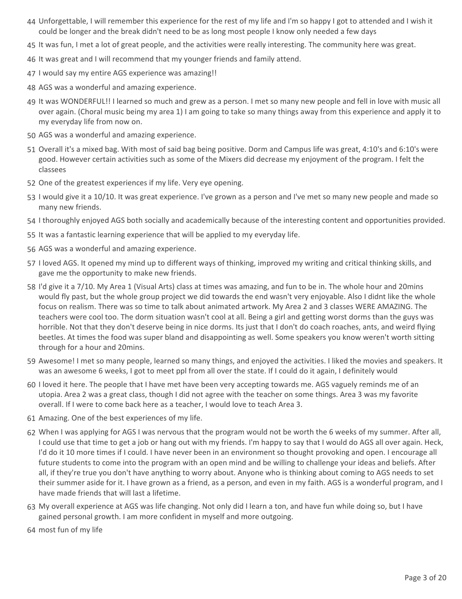- 44 Unforgettable, I will remember this experience for the rest of my life and I'm so happy I got to attended and I wish it could be longer and the break didn't need to be as long most people I know only needed a few days
- 45 It was fun, I met a lot of great people, and the activities were really interesting. The community here was great.
- 46 It was great and I will recommend that my younger friends and family attend.
- 47 I would say my entire AGS experience was amazing!!
- 48 AGS was a wonderful and amazing experience.
- 49 It was WONDERFUL!! I learned so much and grew as a person. I met so many new people and fell in love with music all over again. (Choral music being my area 1) I am going to take so many things away from this experience and apply it to my everyday life from now on.
- 50 AGS was a wonderful and amazing experience.
- 51 Overall it's a mixed bag. With most of said bag being positive. Dorm and Campus life was great, 4:10's and 6:10's were good. However certain activities such as some of the Mixers did decrease my enjoyment of the program. I felt the classees
- 52 One of the greatest experiences if my life. Very eye opening.
- 53 I would give it a 10/10. It was great experience. I've grown as a person and I've met so many new people and made so many new friends.
- 54 I thoroughly enjoyed AGS both socially and academically because of the interesting content and opportunities provided.
- 55 It was a fantastic learning experience that will be applied to my everyday life.
- 56 AGS was a wonderful and amazing experience.
- 57 I loved AGS. It opened my mind up to different ways of thinking, improved my writing and critical thinking skills, and gave me the opportunity to make new friends.
- 58 I'd give it a 7/10. My Area 1 (Visual Arts) class at times was amazing, and fun to be in. The whole hour and 20mins would fly past, but the whole group project we did towards the end wasn't very enjoyable. Also I didnt like the whole focus on realism. There was so time to talk about animated artwork. My Area 2 and 3 classes WERE AMAZING. The teachers were cool too. The dorm situation wasn't cool at all. Being a girl and getting worst dorms than the guys was horrible. Not that they don't deserve being in nice dorms. Its just that I don't do coach roaches, ants, and weird flying beetles. At times the food was super bland and disappointing as well. Some speakers you know weren't worth sitting through for a hour and 20mins.
- 59 Awesome! I met so many people, learned so many things, and enjoyed the activities. I liked the movies and speakers. It was an awesome 6 weeks, I got to meet ppl from all over the state. If I could do it again, I definitely would
- 60 I loved it here. The people that I have met have been very accepting towards me. AGS vaguely reminds me of an utopia. Area 2 was a great class, though I did not agree with the teacher on some things. Area 3 was my favorite overall. If I were to come back here as a teacher, I would love to teach Area 3.
- 61 Amazing. One of the best experiences of my life.
- When I was applying for AGS I was nervous that the program would not be worth the 6 weeks of my summer. After all, 62 I could use that time to get a job or hang out with my friends. I'm happy to say that I would do AGS all over again. Heck, I'd do it 10 more times if I could. I have never been in an environment so thought provoking and open. I encourage all future students to come into the program with an open mind and be willing to challenge your ideas and beliefs. After all, if they're true you don't have anything to worry about. Anyone who is thinking about coming to AGS needs to set their summer aside for it. I have grown as a friend, as a person, and even in my faith. AGS is a wonderful program, and I have made friends that will last a lifetime.
- My overall experience at AGS was life changing. Not only did I learn a ton, and have fun while doing so, but I have 63 gained personal growth. I am more confident in myself and more outgoing.
- 64 most fun of my life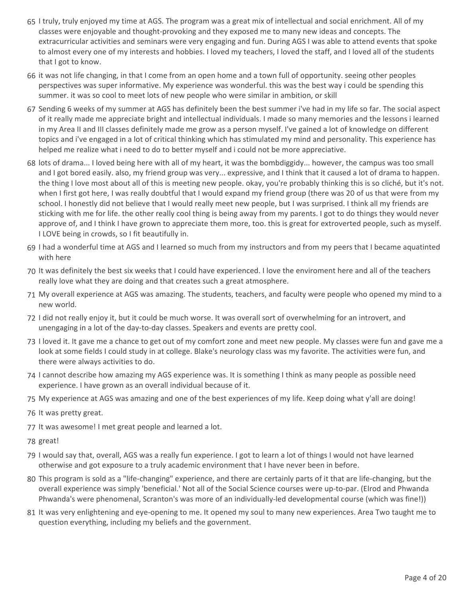- 65 I truly, truly enjoyed my time at AGS. The program was a great mix of intellectual and social enrichment. All of my classes were enjoyable and thought-provoking and they exposed me to many new ideas and concepts. The extracurricular activities and seminars were very engaging and fun. During AGS I was able to attend events that spoke to almost every one of my interests and hobbies. I loved my teachers, I loved the staff, and I loved all of the students that I got to know.
- 66 it was not life changing, in that I come from an open home and a town full of opportunity. seeing other peoples perspectives was super informative. My experience was wonderful. this was the best way i could be spending this summer. it was so cool to meet lots of new people who were similar in ambition, or skill
- 67 Sending 6 weeks of my summer at AGS has definitely been the best summer i've had in my life so far. The social aspect of it really made me appreciate bright and intellectual individuals. I made so many memories and the lessons i learned in my Area II and III classes definitely made me grow as a person myself. I've gained a lot of knowledge on different topics and i've engaged in a lot of critical thinking which has stimulated my mind and personality. This experience has helped me realize what i need to do to better myself and i could not be more appreciative.
- 68 lots of drama... I loved being here with all of my heart, it was the bombdiggidy... however, the campus was too small and I got bored easily. also, my friend group was very... expressive, and I think that it caused a lot of drama to happen. the thing I love most about all of this is meeting new people. okay, you're probably thinking this is so cliché, but it's not. when I first got here, I was really doubtful that I would expand my friend group (there was 20 of us that were from my school. I honestly did not believe that I would really meet new people, but I was surprised. I think all my friends are sticking with me for life. the other really cool thing is being away from my parents. I got to do things they would never approve of, and I think I have grown to appreciate them more, too. this is great for extroverted people, such as myself. I LOVE being in crowds, so I fit beautifully in.
- 69 I had a wonderful time at AGS and I learned so much from my instructors and from my peers that I became aquatinted with here
- 70 It was definitely the best six weeks that I could have experienced. I love the enviroment here and all of the teachers really love what they are doing and that creates such a great atmosphere.
- My overall experience at AGS was amazing. The students, teachers, and faculty were people who opened my mind to a 71 new world.
- 72 I did not really enjoy it, but it could be much worse. It was overall sort of overwhelming for an introvert, and unengaging in a lot of the day-to-day classes. Speakers and events are pretty cool.
- 73 I loved it. It gave me a chance to get out of my comfort zone and meet new people. My classes were fun and gave me a look at some fields I could study in at college. Blake's neurology class was my favorite. The activities were fun, and there were always activities to do.
- 74 I cannot describe how amazing my AGS experience was. It is something I think as many people as possible need experience. I have grown as an overall individual because of it.
- 75 My experience at AGS was amazing and one of the best experiences of my life. Keep doing what y'all are doing!
- 76 It was pretty great.
- 77 It was awesome! I met great people and learned a lot.
- 78 great!
- 79 I would say that, overall, AGS was a really fun experience. I got to learn a lot of things I would not have learned otherwise and got exposure to a truly academic environment that I have never been in before.
- This program is sold as a "life-changing" experience, and there are certainly parts of it that are life-changing, but the 80 overall experience was simply 'beneficial.' Not all of the Social Science courses were up-to-par. (Elrod and Phwanda Phwanda's were phenomenal, Scranton's was more of an individually-led developmental course (which was fine!))
- 81 It was very enlightening and eye-opening to me. It opened my soul to many new experiences. Area Two taught me to question everything, including my beliefs and the government.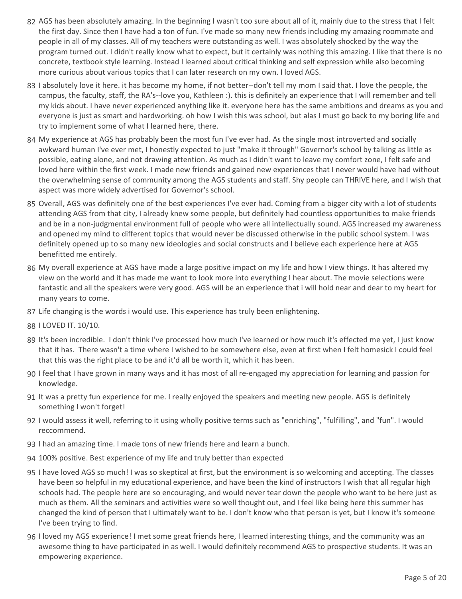- 82 AGS has been absolutely amazing. In the beginning I wasn't too sure about all of it, mainly due to the stress that I felt the first day. Since then I have had a ton of fun. I've made so many new friends including my amazing roommate and people in all of my classes. All of my teachers were outstanding as well. I was absolutely shocked by the way the program turned out. I didn't really know what to expect, but it certainly was nothing this amazing. I like that there is no concrete, textbook style learning. Instead I learned about critical thinking and self expression while also becoming more curious about various topics that I can later research on my own. I loved AGS.
- 83 I absolutely love it here. it has become my home, if not better--don't tell my mom I said that. I love the people, the campus, the faculty, staff, the RA's--love you, Kathleen :). this is definitely an experience that I will remember and tell my kids about. I have never experienced anything like it. everyone here has the same ambitions and dreams as you and everyone is just as smart and hardworking. oh how I wish this was school, but alas I must go back to my boring life and try to implement some of what I learned here, there.
- My experience at AGS has probably been the most fun I've ever had. As the single most introverted and socially 84 awkward human I've ever met, I honestly expected to just "make it through" Governor's school by talking as little as possible, eating alone, and not drawing attention. As much as I didn't want to leave my comfort zone, I felt safe and loved here within the first week. I made new friends and gained new experiences that I never would have had without the overwhelming sense of community among the AGS students and staff. Shy people can THRIVE here, and I wish that aspect was more widely advertised for Governor's school.
- 85 Overall, AGS was definitely one of the best experiences I've ever had. Coming from a bigger city with a lot of students attending AGS from that city, I already knew some people, but definitely had countless opportunities to make friends and be in a non-judgmental environment full of people who were all intellectually sound. AGS increased my awareness and opened my mind to different topics that would never be discussed otherwise in the public school system. I was definitely opened up to so many new ideologies and social constructs and I believe each experience here at AGS benefitted me entirely.
- My overall experience at AGS have made a large positive impact on my life and how I view things. It has altered my 86 view on the world and it has made me want to look more into everything I hear about. The movie selections were fantastic and all the speakers were very good. AGS will be an experience that i will hold near and dear to my heart for many years to come.
- 87 Life changing is the words i would use. This experience has truly been enlightening.
- 88 I LOVED IT. 10/10.
- 89 It's been incredible. I don't think I've processed how much I've learned or how much it's effected me yet, I just know that it has. There wasn't a time where I wished to be somewhere else, even at first when I felt homesick I could feel that this was the right place to be and it'd all be worth it, which it has been.
- 90 I feel that I have grown in many ways and it has most of all re-engaged my appreciation for learning and passion for knowledge.
- 91 It was a pretty fun experience for me. I really enjoyed the speakers and meeting new people. AGS is definitely something I won't forget!
- 92 I would assess it well, referring to it using wholly positive terms such as "enriching", "fulfilling", and "fun". I would reccommend.
- 93 I had an amazing time. I made tons of new friends here and learn a bunch.
- 94 100% positive. Best experience of my life and truly better than expected
- 95 I have loved AGS so much! I was so skeptical at first, but the environment is so welcoming and accepting. The classes have been so helpful in my educational experience, and have been the kind of instructors I wish that all regular high schools had. The people here are so encouraging, and would never tear down the people who want to be here just as much as them. All the seminars and activities were so well thought out, and I feel like being here this summer has changed the kind of person that I ultimately want to be. I don't know who that person is yet, but I know it's someone I've been trying to find.
- 96 I loved my AGS experience! I met some great friends here, I learned interesting things, and the community was an awesome thing to have participated in as well. I would definitely recommend AGS to prospective students. It was an empowering experience.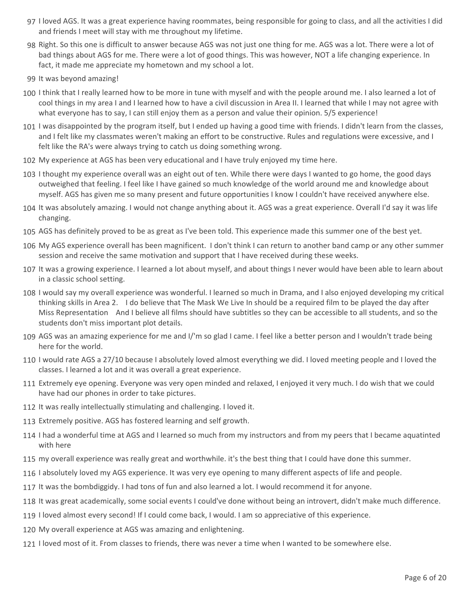- 97 I loved AGS. It was a great experience having roommates, being responsible for going to class, and all the activities I did and friends I meet will stay with me throughout my lifetime.
- 98 Right. So this one is difficult to answer because AGS was not just one thing for me. AGS was a lot. There were a lot of bad things about AGS for me. There were a lot of good things. This was however, NOT a life changing experience. In fact, it made me appreciate my hometown and my school a lot.
- 99 It was beyond amazing!
- 100 I think that I really learned how to be more in tune with myself and with the people around me. I also learned a lot of cool things in my area I and I learned how to have a civil discussion in Area II. I learned that while I may not agree with what everyone has to say, I can still enjoy them as a person and value their opinion. 5/5 experience!
- 101 I was disappointed by the program itself, but I ended up having a good time with friends. I didn't learn from the classes, and I felt like my classmates weren't making an effort to be constructive. Rules and regulations were excessive, and I felt like the RA's were always trying to catch us doing something wrong.
- 102 My experience at AGS has been very educational and I have truly enjoyed my time here.
- 103 I thought my experience overall was an eight out of ten. While there were days I wanted to go home, the good days outweighed that feeling. I feel like I have gained so much knowledge of the world around me and knowledge about myself. AGS has given me so many present and future opportunities I know I couldn't have received anywhere else.
- 104 It was absolutely amazing. I would not change anything about it. AGS was a great experience. Overall I'd say it was life changing.
- 105 AGS has definitely proved to be as great as I've been told. This experience made this summer one of the best yet.
- 106 My AGS experience overall has been magnificent. I don't think I can return to another band camp or any other summer session and receive the same motivation and support that I have received during these weeks.
- 107 It was a growing experience. I learned a lot about myself, and about things I never would have been able to learn about in a classic school setting.
- 108 I would say my overall experience was wonderful. I learned so much in Drama, and I also enjoyed developing my critical thinking skills in Area 2. I do believe that The Mask We Live In should be a required film to be played the day after Miss Representation And I believe all films should have subtitles so they can be accessible to all students, and so the students don't miss important plot details.
- 109 AGS was an amazing experience for me and I/'m so glad I came. I feel like a better person and I wouldn't trade being here for the world.
- 110 I would rate AGS a 27/10 because I absolutely loved almost everything we did. I loved meeting people and I loved the classes. I learned a lot and it was overall a great experience.
- 111 Extremely eye opening. Everyone was very open minded and relaxed, I enjoyed it very much. I do wish that we could have had our phones in order to take pictures.
- 112 It was really intellectually stimulating and challenging. I loved it.
- 113 Extremely positive. AGS has fostered learning and self growth.
- 114 I had a wonderful time at AGS and I learned so much from my instructors and from my peers that I became aquatinted with here
- 115 my overall experience was really great and worthwhile. it's the best thing that I could have done this summer.
- 116 I absolutely loved my AGS experience. It was very eye opening to many different aspects of life and people.
- 117 It was the bombdiggidy. I had tons of fun and also learned a lot. I would recommend it for anyone.
- 118 It was great academically, some social events I could've done without being an introvert, didn't make much difference.
- 119 I loved almost every second! If I could come back, I would. I am so appreciative of this experience.
- 120 My overall experience at AGS was amazing and enlightening.
- 121 I loved most of it. From classes to friends, there was never a time when I wanted to be somewhere else.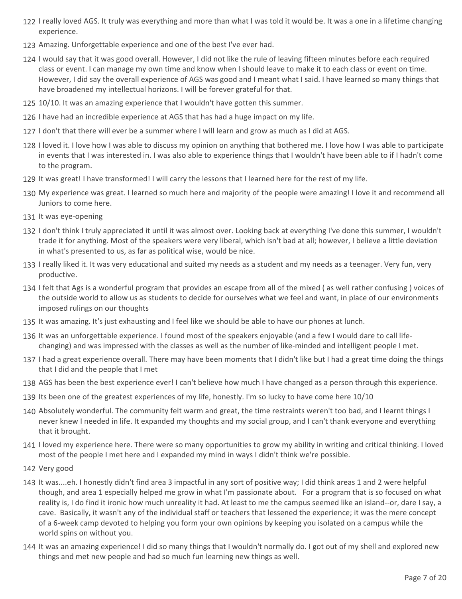- 122 I really loved AGS. It truly was everything and more than what I was told it would be. It was a one in a lifetime changing experience.
- 123 Amazing. Unforgettable experience and one of the best I've ever had.
- 124 I would say that it was good overall. However, I did not like the rule of leaving fifteen minutes before each required class or event. I can manage my own time and know when I should leave to make it to each class or event on time. However, I did say the overall experience of AGS was good and I meant what I said. I have learned so many things that have broadened my intellectual horizons. I will be forever grateful for that.
- 125 10/10. It was an amazing experience that I wouldn't have gotten this summer.
- 126 I have had an incredible experience at AGS that has had a huge impact on my life.
- 127 I don't that there will ever be a summer where I will learn and grow as much as I did at AGS.
- 128 I loved it. I love how I was able to discuss my opinion on anything that bothered me. I love how I was able to participate in events that I was interested in. I was also able to experience things that I wouldn't have been able to if I hadn't come to the program.
- 129 It was great! I have transformed! I will carry the lessons that I learned here for the rest of my life.
- My experience was great. I learned so much here and majority of the people were amazing! I love it and recommend all 130 Juniors to come here.
- 131 It was eye-opening
- 132 I don't think I truly appreciated it until it was almost over. Looking back at everything I've done this summer, I wouldn't trade it for anything. Most of the speakers were very liberal, which isn't bad at all; however, I believe a little deviation in what's presented to us, as far as political wise, would be nice.
- 133 I really liked it. It was very educational and suited my needs as a student and my needs as a teenager. Very fun, very productive.
- 134 I felt that Ags is a wonderful program that provides an escape from all of the mixed (as well rather confusing) voices of the outside world to allow us as students to decide for ourselves what we feel and want, in place of our environments imposed rulings on our thoughts
- 135 It was amazing. It's just exhausting and I feel like we should be able to have our phones at lunch.
- 136 It was an unforgettable experience. I found most of the speakers enjoyable (and a few I would dare to call lifechanging) and was impressed with the classes as well as the number of like-minded and intelligent people I met.
- 137 I had a great experience overall. There may have been moments that I didn't like but I had a great time doing the things that I did and the people that I met
- 138 AGS has been the best experience ever! I can't believe how much I have changed as a person through this experience.
- 139 Its been one of the greatest experiences of my life, honestly. I'm so lucky to have come here 10/10
- 140 Absolutely wonderful. The community felt warm and great, the time restraints weren't too bad, and I learnt things I never knew I needed in life. It expanded my thoughts and my social group, and I can't thank everyone and everything that it brought.
- 141 I loved my experience here. There were so many opportunities to grow my ability in writing and critical thinking. I loved most of the people I met here and I expanded my mind in ways I didn't think we're possible.
- 142 Very good
- 143 It was....eh. I honestly didn't find area 3 impactful in any sort of positive way; I did think areas 1 and 2 were helpful though, and area 1 especially helped me grow in what I'm passionate about. For a program that is so focused on what reality is, I do find it ironic how much unreality it had. At least to me the campus seemed like an island--or, dare I say, a cave. Basically, it wasn't any of the individual staff or teachers that lessened the experience; it was the mere concept of a 6-week camp devoted to helping you form your own opinions by keeping you isolated on a campus while the world spins on without you.
- 144 It was an amazing experience! I did so many things that I wouldn't normally do. I got out of my shell and explored new things and met new people and had so much fun learning new things as well.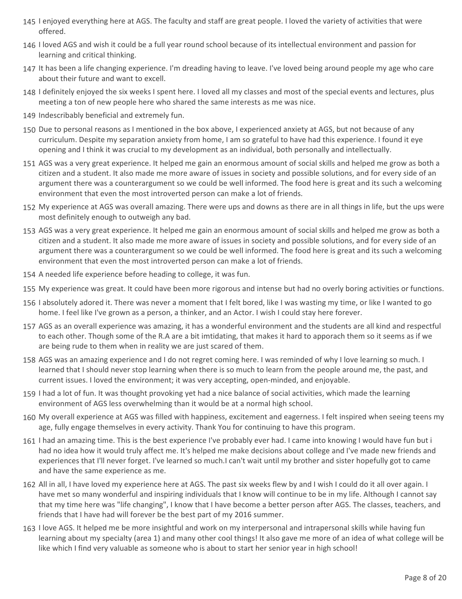- 145 I enjoyed everything here at AGS. The faculty and staff are great people. I loved the variety of activities that were offered.
- 146 I loved AGS and wish it could be a full year round school because of its intellectual environment and passion for learning and critical thinking.
- 147 It has been a life changing experience. I'm dreading having to leave. I've loved being around people my age who care about their future and want to excell.
- 148 I definitely enjoyed the six weeks I spent here. I loved all my classes and most of the special events and lectures, plus meeting a ton of new people here who shared the same interests as me was nice.
- 149 Indescribably beneficial and extremely fun.
- 150 Due to personal reasons as I mentioned in the box above, I experienced anxiety at AGS, but not because of any curriculum. Despite my separation anxiety from home, I am so grateful to have had this experience. I found it eye opening and I think it was crucial to my development as an individual, both personally and intellectually.
- 151 AGS was a very great experience. It helped me gain an enormous amount of social skills and helped me grow as both a citizen and a student. It also made me more aware of issues in society and possible solutions, and for every side of an argument there was a counterargument so we could be well informed. The food here is great and its such a welcoming environment that even the most introverted person can make a lot of friends.
- My experience at AGS was overall amazing. There were ups and downs as there are in all things in life, but the ups were 152 most definitely enough to outweigh any bad.
- 153 AGS was a very great experience. It helped me gain an enormous amount of social skills and helped me grow as both a citizen and a student. It also made me more aware of issues in society and possible solutions, and for every side of an argument there was a counterargument so we could be well informed. The food here is great and its such a welcoming environment that even the most introverted person can make a lot of friends.
- 154 A needed life experience before heading to college, it was fun.
- 155 My experience was great. It could have been more rigorous and intense but had no overly boring activities or functions.
- 156 I absolutely adored it. There was never a moment that I felt bored, like I was wasting my time, or like I wanted to go home. I feel like I've grown as a person, a thinker, and an Actor. I wish I could stay here forever.
- 157 AGS as an overall experience was amazing, it has a wonderful environment and the students are all kind and respectful to each other. Though some of the R.A are a bit imtidating, that makes it hard to apporach them so it seems as if we are being rude to them when in reality we are just scared of them.
- 158 AGS was an amazing experience and I do not regret coming here. I was reminded of why I love learning so much. I learned that I should never stop learning when there is so much to learn from the people around me, the past, and current issues. I loved the environment; it was very accepting, open-minded, and enjoyable.
- 159 I had a lot of fun. It was thought provoking yet had a nice balance of social activities, which made the learning environment of AGS less overwhelming than it would be at a normal high school.
- 160 My overall experience at AGS was filled with happiness, excitement and eagerness. I felt inspired when seeing teens my age, fully engage themselves in every activity. Thank You for continuing to have this program.
- 161 I had an amazing time. This is the best experience I've probably ever had. I came into knowing I would have fun but i had no idea how it would truly affect me. It's helped me make decisions about college and I've made new friends and experiences that I'll never forget. I've learned so much.I can't wait until my brother and sister hopefully got to came and have the same experience as me.
- 162 All in all, I have loved my experience here at AGS. The past six weeks flew by and I wish I could do it all over again. I have met so many wonderful and inspiring individuals that I know will continue to be in my life. Although I cannot say that my time here was "life changing", I know that I have become a better person after AGS. The classes, teachers, and friends that I have had will forever be the best part of my 2016 summer.
- 163 I love AGS. It helped me be more insightful and work on my interpersonal and intrapersonal skills while having fun learning about my specialty (area 1) and many other cool things! It also gave me more of an idea of what college will be like which I find very valuable as someone who is about to start her senior year in high school!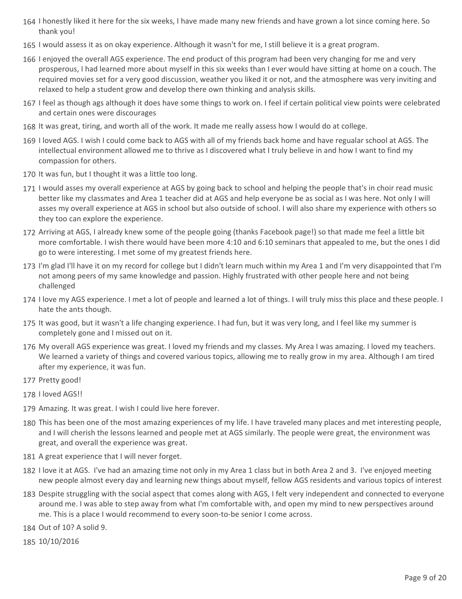- 164 I honestly liked it here for the six weeks, I have made many new friends and have grown a lot since coming here. So thank you!
- 165 I would assess it as on okay experience. Although it wasn't for me, I still believe it is a great program.
- 166 I enjoyed the overall AGS experience. The end product of this program had been very changing for me and very prosperous, I had learned more about myself in this six weeks than I ever would have sitting at home on a couch. The required movies set for a very good discussion, weather you liked it or not, and the atmosphere was very inviting and relaxed to help a student grow and develop there own thinking and analysis skills.
- 167 I feel as though ags although it does have some things to work on. I feel if certain political view points were celebrated and certain ones were discourages
- 168 It was great, tiring, and worth all of the work. It made me really assess how I would do at college.
- 169 I loved AGS. I wish I could come back to AGS with all of my friends back home and have regualar school at AGS. The intellectual environment allowed me to thrive as I discovered what I truly believe in and how I want to find my compassion for others.
- 170 It was fun, but I thought it was a little too long.
- 171 I would asses my overall experience at AGS by going back to school and helping the people that's in choir read music better like my classmates and Area 1 teacher did at AGS and help everyone be as social as I was here. Not only I will asses my overall experience at AGS in school but also outside of school. I will also share my experience with others so they too can explore the experience.
- 172 Arriving at AGS, I already knew some of the people going (thanks Facebook page!) so that made me feel a little bit more comfortable. I wish there would have been more 4:10 and 6:10 seminars that appealed to me, but the ones I did go to were interesting. I met some of my greatest friends here.
- 173 I'm glad I'll have it on my record for college but I didn't learn much within my Area 1 and I'm very disappointed that I'm not among peers of my same knowledge and passion. Highly frustrated with other people here and not being challenged
- 174 I love my AGS experience. I met a lot of people and learned a lot of things. I will truly miss this place and these people. I hate the ants though.
- 175 It was good, but it wasn't a life changing experience. I had fun, but it was very long, and I feel like my summer is completely gone and I missed out on it.
- 176 My overall AGS experience was great. I loved my friends and my classes. My Area I was amazing. I loved my teachers. We learned a variety of things and covered various topics, allowing me to really grow in my area. Although I am tired after my experience, it was fun.
- 177 Pretty good!
- 178 I loved AGS!!
- 179 Amazing. It was great. I wish I could live here forever.
- 180 This has been one of the most amazing experiences of my life. I have traveled many places and met interesting people, and I will cherish the lessons learned and people met at AGS similarly. The people were great, the environment was great, and overall the experience was great.
- 181 A great experience that I will never forget.
- 182 I love it at AGS. I've had an amazing time not only in my Area 1 class but in both Area 2 and 3. I've enjoyed meeting new people almost every day and learning new things about myself, fellow AGS residents and various topics of interest
- 183 Despite struggling with the social aspect that comes along with AGS, I felt very independent and connected to everyone around me. I was able to step away from what I'm comfortable with, and open my mind to new perspectives around me. This is a place I would recommend to every soon-to-be senior I come across.
- 184 Out of 10? A solid 9.
- 185 10/10/2016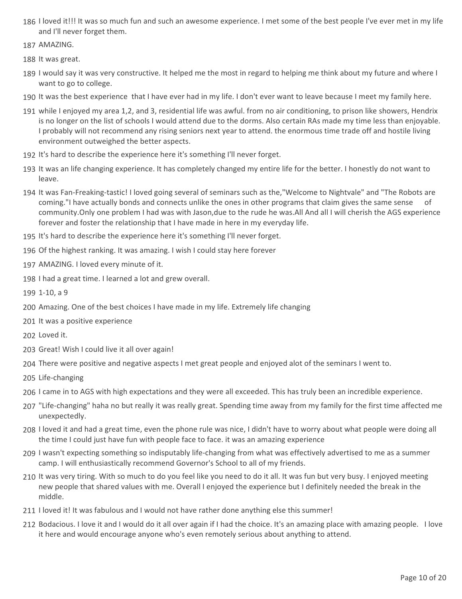- 186 I loved it!!! It was so much fun and such an awesome experience. I met some of the best people I've ever met in my life and I'll never forget them.
- 187 AMAZING.
- 188 It was great.
- 189 I would say it was very constructive. It helped me the most in regard to helping me think about my future and where I want to go to college.
- 190 It was the best experience that I have ever had in my life. I don't ever want to leave because I meet my family here.
- while I enjoyed my area 1,2, and 3, residential life was awful. from no air conditioning, to prison like showers, Hendrix 191 is no longer on the list of schools I would attend due to the dorms. Also certain RAs made my time less than enjoyable. I probably will not recommend any rising seniors next year to attend. the enormous time trade off and hostile living environment outweighed the better aspects.
- 192 It's hard to describe the experience here it's something I'll never forget.
- 193 It was an life changing experience. It has completely changed my entire life for the better. I honestly do not want to leave.
- 194 It was Fan-Freaking-tastic! I loved going several of seminars such as the,"Welcome to Nightvale" and "The Robots are coming."I have actually bonds and connects unlike the ones in other programs that claim gives the same sense of community.Only one problem I had was with Jason,due to the rude he was.All And all I will cherish the AGS experience forever and foster the relationship that I have made in here in my everyday life.
- 195 It's hard to describe the experience here it's something I'll never forget.
- 196 Of the highest ranking. It was amazing. I wish I could stay here forever
- 197 AMAZING. I loved every minute of it.
- 198 I had a great time. I learned a lot and grew overall.
- 199 1-10, a 9
- 200 Amazing. One of the best choices I have made in my life. Extremely life changing
- 201 It was a positive experience
- 202 Loved it.
- 203 Great! Wish I could live it all over again!
- 204 There were positive and negative aspects I met great people and enjoyed alot of the seminars I went to.
- 205 Life-changing
- 206 I came in to AGS with high expectations and they were all exceeded. This has truly been an incredible experience.
- 207 "Life-changing" haha no but really it was really great. Spending time away from my family for the first time affected me unexpectedly.
- 208 I loved it and had a great time, even the phone rule was nice, I didn't have to worry about what people were doing all the time I could just have fun with people face to face. it was an amazing experience
- 209 I wasn't expecting something so indisputably life-changing from what was effectively advertised to me as a summer camp. I will enthusiastically recommend Governor's School to all of my friends.
- 210 It was very tiring. With so much to do you feel like you need to do it all. It was fun but very busy. I enjoyed meeting new people that shared values with me. Overall I enjoyed the experience but I definitely needed the break in the middle.
- 211 I loved it! It was fabulous and I would not have rather done anything else this summer!
- 212 Bodacious. I love it and I would do it all over again if I had the choice. It's an amazing place with amazing people. I love it here and would encourage anyone who's even remotely serious about anything to attend.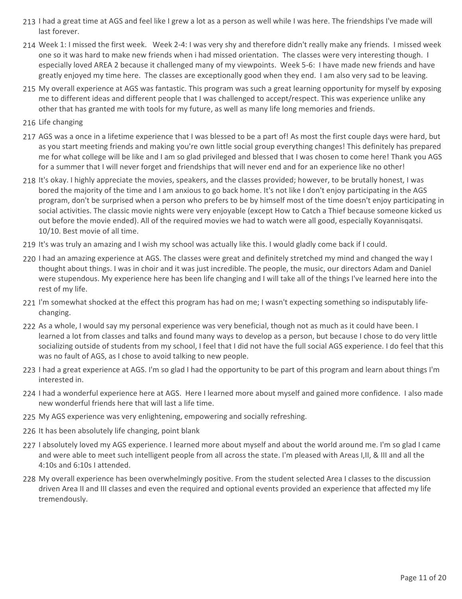- 213 I had a great time at AGS and feel like I grew a lot as a person as well while I was here. The friendships I've made will last forever.
- 214 Week 1: I missed the first week. Week 2-4: I was very shy and therefore didn't really make any friends. I missed week one so it was hard to make new friends when i had missed orientation. The classes were very interesting though. I especially loved AREA 2 because it challenged many of my viewpoints. Week 5-6: I have made new friends and have greatly enjoyed my time here. The classes are exceptionally good when they end. I am also very sad to be leaving.
- My overall experience at AGS was fantastic. This program was such a great learning opportunity for myself by exposing 215 me to different ideas and different people that I was challenged to accept/respect. This was experience unlike any other that has granted me with tools for my future, as well as many life long memories and friends.
- 216 Life changing
- 217 AGS was a once in a lifetime experience that I was blessed to be a part of! As most the first couple days were hard, but as you start meeting friends and making you're own little social group everything changes! This definitely has prepared me for what college will be like and I am so glad privileged and blessed that I was chosen to come here! Thank you AGS for a summer that I will never forget and friendships that will never end and for an experience like no other!
- 218 It's okay. I highly appreciate the movies, speakers, and the classes provided; however, to be brutally honest, I was bored the majority of the time and I am anxious to go back home. It's not like I don't enjoy participating in the AGS program, don't be surprised when a person who prefers to be by himself most of the time doesn't enjoy participating in social activities. The classic movie nights were very enjoyable (except How to Catch a Thief because someone kicked us out before the movie ended). All of the required movies we had to watch were all good, especially Koyannisqatsi. 10/10. Best movie of all time.
- 219 It's was truly an amazing and I wish my school was actually like this. I would gladly come back if I could.
- 220 I had an amazing experience at AGS. The classes were great and definitely stretched my mind and changed the way I thought about things. I was in choir and it was just incredible. The people, the music, our directors Adam and Daniel were stupendous. My experience here has been life changing and I will take all of the things I've learned here into the rest of my life.
- 221 I'm somewhat shocked at the effect this program has had on me; I wasn't expecting something so indisputably lifechanging.
- 222 As a whole, I would say my personal experience was very beneficial, though not as much as it could have been. I learned a lot from classes and talks and found many ways to develop as a person, but because I chose to do very little socializing outside of students from my school, I feel that I did not have the full social AGS experience. I do feel that this was no fault of AGS, as I chose to avoid talking to new people.
- 223 I had a great experience at AGS. I'm so glad I had the opportunity to be part of this program and learn about things I'm interested in.
- 224 I had a wonderful experience here at AGS. Here I learned more about myself and gained more confidence. I also made new wonderful friends here that will last a life time.
- 225 My AGS experience was very enlightening, empowering and socially refreshing.
- 226 It has been absolutely life changing, point blank
- 227 I absolutely loved my AGS experience. I learned more about myself and about the world around me. I'm so glad I came and were able to meet such intelligent people from all across the state. I'm pleased with Areas I,II, & III and all the 4:10s and 6:10s I attended.
- My overall experience has been overwhelmingly positive. From the student selected Area I classes to the discussion 228 driven Area II and III classes and even the required and optional events provided an experience that affected my life tremendously.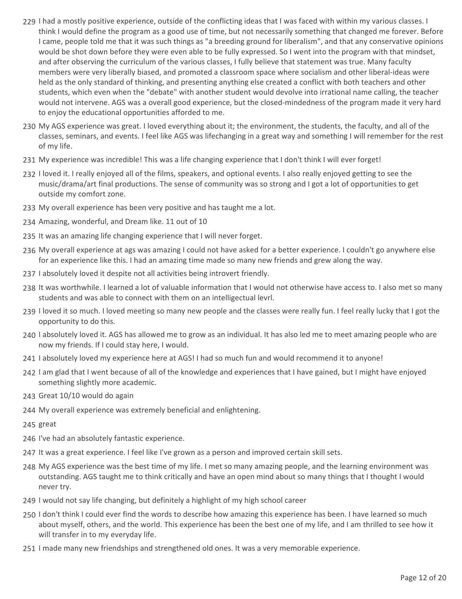- 229 I had a mostly positive experience, outside of the conflicting ideas that I was faced with within my various classes. I think I would define the program as a good use of time, but not necessarily something that changed me forever. Before I came, people told me that it was such things as "a breeding ground for liberalism", and that any conservative opinions would be shot down before they were even able to be fully expressed. So I went into the program with that mindset, and after observing the curriculum of the various classes, I fully believe that statement was true. Many faculty members were very liberally biased, and promoted a classroom space where socialism and other liberal-ideas were held as the only standard of thinking, and presenting anything else created a conflict with both teachers and other students, which even when the "debate" with another student would devolve into irrational name calling, the teacher would not intervene. AGS was a overall good experience, but the closed-mindedness of the program made it very hard to enjoy the educational opportunities afforded to me.
- My AGS experience was great. I loved everything about it; the environment, the students, the faculty, and all of the 230 classes, seminars, and events. I feel like AGS was lifechanging in a great way and something I will remember for the rest of my life.
- 231 My experience was incredible! This was a life changing experience that I don't think I will ever forget!
- 232 I loved it. I really enjoyed all of the films, speakers, and optional events. I also really enjoyed getting to see the music/drama/art final productions. The sense of community was so strong and I got a lot of opportunities to get outside my comfort zone.
- 233 My overall experience has been very positive and has taught me a lot.
- 234 Amazing, wonderful, and Dream like. 11 out of 10
- 235 It was an amazing life changing experience that I will never forget.
- My overall experience at ags was amazing I could not have asked for a better experience. I couldn't go anywhere else 236 for an experience like this. I had an amazing time made so many new friends and grew along the way.
- 237 I absolutely loved it despite not all activities being introvert friendly.
- 238 It was worthwhile. I learned a lot of valuable information that I would not otherwise have access to. I also met so many students and was able to connect with them on an intelligectual levrl.
- 239 I loved it so much. I loved meeting so many new people and the classes were really fun. I feel really lucky that I got the opportunity to do this.
- 240 I absolutely loved it. AGS has allowed me to grow as an individual. It has also led me to meet amazing people who are now my friends. If I could stay here, I would.
- 241 I absolutely loved my experience here at AGS! I had so much fun and would recommend it to anyone!
- 242 I am glad that I went because of all of the knowledge and experiences that I have gained, but I might have enjoyed something slightly more academic.
- 243 Great 10/10 would do again
- 244 My overall experience was extremely beneficial and enlightening.
- 245 great
- 246 I've had an absolutely fantastic experience.
- 247 It was a great experience. I feel like I've grown as a person and improved certain skill sets.
- My AGS experience was the best time of my life. I met so many amazing people, and the learning environment was 248 outstanding. AGS taught me to think critically and have an open mind about so many things that I thought I would never try.
- 249 I would not say life changing, but definitely a highlight of my high school career
- 250 I don't think I could ever find the words to describe how amazing this experience has been. I have learned so much about myself, others, and the world. This experience has been the best one of my life, and I am thrilled to see how it will transfer in to my everyday life.
- 251 I made many new friendships and strengthened old ones. It was a very memorable experience.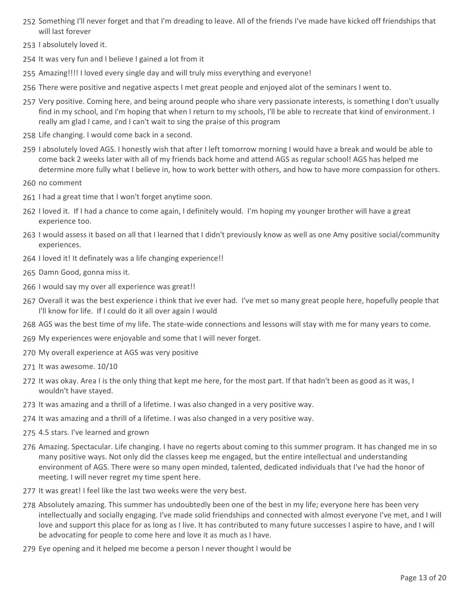- 252 Something I'll never forget and that I'm dreading to leave. All of the friends I've made have kicked off friendships that will last forever
- 253 I absolutely loved it.
- 254 It was very fun and I believe I gained a lot from it
- 255 Amazing!!!! I loved every single day and will truly miss everything and everyone!
- 256 There were positive and negative aspects I met great people and enjoyed alot of the seminars I went to.
- 257 Very positive. Coming here, and being around people who share very passionate interests, is something I don't usually find in my school, and I'm hoping that when I return to my schools, I'll be able to recreate that kind of environment. I really am glad I came, and I can't wait to sing the praise of this program
- 258 Life changing. I would come back in a second.
- 259 I absolutely loved AGS. I honestly wish that after I left tomorrow morning I would have a break and would be able to come back 2 weeks later with all of my friends back home and attend AGS as regular school! AGS has helped me determine more fully what I believe in, how to work better with others, and how to have more compassion for others.
- 260 no comment
- 261 I had a great time that I won't forget anytime soon.
- 262 I loved it. If I had a chance to come again, I definitely would. I'm hoping my younger brother will have a great experience too.
- 263 I would assess it based on all that I learned that I didn't previously know as well as one Amy positive social/community experiences.
- 264 I loved it! It definately was a life changing experience!!
- 265 Damn Good, gonna miss it.
- 266 I would say my over all experience was great!!
- 267 Overall it was the best experience i think that ive ever had. I've met so many great people here, hopefully people that I'll know for life. If I could do it all over again I would
- 268 AGS was the best time of my life. The state-wide connections and lessons will stay with me for many years to come.
- 269 My experiences were enjoyable and some that I will never forget.
- 270 My overall experience at AGS was very positive
- 271 It was awesome. 10/10
- 272 It was okay. Area I is the only thing that kept me here, for the most part. If that hadn't been as good as it was, I wouldn't have stayed.
- 273 It was amazing and a thrill of a lifetime. I was also changed in a very positive way.
- 274 It was amazing and a thrill of a lifetime. I was also changed in a very positive way.
- 275 4.5 stars. I've learned and grown
- 276 Amazing. Spectacular. Life changing. I have no regerts about coming to this summer program. It has changed me in so many positive ways. Not only did the classes keep me engaged, but the entire intellectual and understanding environment of AGS. There were so many open minded, talented, dedicated individuals that I've had the honor of meeting. I will never regret my time spent here.
- 277 It was great! I feel like the last two weeks were the very best.
- 278 Absolutely amazing. This summer has undoubtedly been one of the best in my life; everyone here has been very intellectually and socially engaging. I've made solid friendships and connected with almost everyone I've met, and I will love and support this place for as long as I live. It has contributed to many future successes I aspire to have, and I will be advocating for people to come here and love it as much as I have.
- 279 Eye opening and it helped me become a person I never thought I would be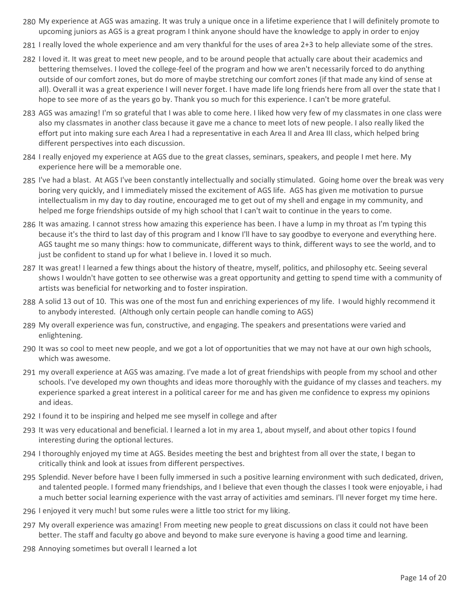- My experience at AGS was amazing. It was truly a unique once in a lifetime experience that I will definitely promote to 280 upcoming juniors as AGS is a great program I think anyone should have the knowledge to apply in order to enjoy
- 281 I really loved the whole experience and am very thankful for the uses of area 2+3 to help alleviate some of the stres.
- 282 I loved it. It was great to meet new people, and to be around people that actually care about their academics and bettering themselves. I loved the college-feel of the program and how we aren't necessarily forced to do anything outside of our comfort zones, but do more of maybe stretching our comfort zones (if that made any kind of sense at all). Overall it was a great experience I will never forget. I have made life long friends here from all over the state that I hope to see more of as the years go by. Thank you so much for this experience. I can't be more grateful.
- 283 AGS was amazing! I'm so grateful that I was able to come here. I liked how very few of my classmates in one class were also my classmates in another class because it gave me a chance to meet lots of new people. I also really liked the effort put into making sure each Area I had a representative in each Area II and Area III class, which helped bring different perspectives into each discussion.
- 284 I really enjoyed my experience at AGS due to the great classes, seminars, speakers, and people I met here. My experience here will be a memorable one.
- 285 I've had a blast. At AGS I've been constantly intellectually and socially stimulated. Going home over the break was very boring very quickly, and I immediately missed the excitement of AGS life. AGS has given me motivation to pursue intellectualism in my day to day routine, encouraged me to get out of my shell and engage in my community, and helped me forge friendships outside of my high school that I can't wait to continue in the years to come.
- 286 It was amazing. I cannot stress how amazing this experience has been. I have a lump in my throat as I'm typing this because it's the third to last day of this program and I know I'll have to say goodbye to everyone and everything here. AGS taught me so many things: how to communicate, different ways to think, different ways to see the world, and to just be confident to stand up for what I believe in. I loved it so much.
- 287 It was great! I learned a few things about the history of theatre, myself, politics, and philosophy etc. Seeing several shows I wouldn't have gotten to see otherwise was a great opportunity and getting to spend time with a community of artists was beneficial for networking and to foster inspiration.
- 288 A solid 13 out of 10. This was one of the most fun and enriching experiences of my life. I would highly recommend it to anybody interested. (Although only certain people can handle coming to AGS)
- My overall experience was fun, constructive, and engaging. The speakers and presentations were varied and 289 enlightening.
- 290 It was so cool to meet new people, and we got a lot of opportunities that we may not have at our own high schools, which was awesome.
- 291 my overall experience at AGS was amazing. I've made a lot of great friendships with people from my school and other schools. I've developed my own thoughts and ideas more thoroughly with the guidance of my classes and teachers. my experience sparked a great interest in a political career for me and has given me confidence to express my opinions and ideas.
- 292 I found it to be inspiring and helped me see myself in college and after
- 293 It was very educational and beneficial. I learned a lot in my area 1, about myself, and about other topics I found interesting during the optional lectures.
- 294 I thoroughly enjoyed my time at AGS. Besides meeting the best and brightest from all over the state, I began to critically think and look at issues from different perspectives.
- 295 Splendid. Never before have I been fully immersed in such a positive learning environment with such dedicated, driven, and talented people. I formed many friendships, and I believe that even though the classes I took were enjoyable, i had a much better social learning experience with the vast array of activities amd seminars. I'll never forget my time here.
- 296 I enjoyed it very much! but some rules were a little too strict for my liking.
- My overall experience was amazing! From meeting new people to great discussions on class it could not have been 297 better. The staff and faculty go above and beyond to make sure everyone is having a good time and learning.
- 298 Annoying sometimes but overall I learned a lot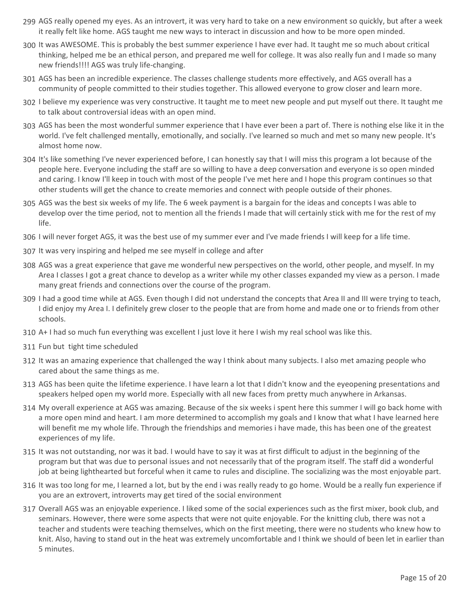- 299 AGS really opened my eyes. As an introvert, it was very hard to take on a new environment so quickly, but after a week it really felt like home. AGS taught me new ways to interact in discussion and how to be more open minded.
- 300 It was AWESOME. This is probably the best summer experience I have ever had. It taught me so much about critical thinking, helped me be an ethical person, and prepared me well for college. It was also really fun and I made so many new friends!!!! AGS was truly life-changing.
- AGS has been an incredible experience. The classes challenge students more effectively, and AGS overall has a 301 community of people committed to their studies together. This allowed everyone to grow closer and learn more.
- 302 I believe my experience was very constructive. It taught me to meet new people and put myself out there. It taught me to talk about controversial ideas with an open mind.
- 303 AGS has been the most wonderful summer experience that I have ever been a part of. There is nothing else like it in the world. I've felt challenged mentally, emotionally, and socially. I've learned so much and met so many new people. It's almost home now.
- 304 It's like something I've never experienced before, I can honestly say that I will miss this program a lot because of the people here. Everyone including the staff are so willing to have a deep conversation and everyone is so open minded and caring. I know I'll keep in touch with most of the people I've met here and I hope this program continues so that other students will get the chance to create memories and connect with people outside of their phones.
- 305 AGS was the best six weeks of my life. The 6 week payment is a bargain for the ideas and concepts I was able to develop over the time period, not to mention all the friends I made that will certainly stick with me for the rest of my life.
- 306 I will never forget AGS, it was the best use of my summer ever and I've made friends I will keep for a life time.
- 307 It was very inspiring and helped me see myself in college and after
- AGS was a great experience that gave me wonderful new perspectives on the world, other people, and myself. In my 308 Area I classes I got a great chance to develop as a writer while my other classes expanded my view as a person. I made many great friends and connections over the course of the program.
- 309 I had a good time while at AGS. Even though I did not understand the concepts that Area II and III were trying to teach, I did enjoy my Area I. I definitely grew closer to the people that are from home and made one or to friends from other schools.
- 310 A+ I had so much fun everything was excellent I just love it here I wish my real school was like this.
- 311 Fun but tight time scheduled
- 312 It was an amazing experience that challenged the way I think about many subjects. I also met amazing people who cared about the same things as me.
- 313 AGS has been quite the lifetime experience. I have learn a lot that I didn't know and the eyeopening presentations and speakers helped open my world more. Especially with all new faces from pretty much anywhere in Arkansas.
- My overall experience at AGS was amazing. Because of the six weeks i spent here this summer I will go back home with 314 a more open mind and heart. I am more determined to accomplish my goals and I know that what I have learned here will benefit me my whole life. Through the friendships and memories i have made, this has been one of the greatest experiences of my life.
- 315 It was not outstanding, nor was it bad. I would have to say it was at first difficult to adjust in the beginning of the program but that was due to personal issues and not necessarily that of the program itself. The staff did a wonderful job at being lighthearted but forceful when it came to rules and discipline. The socializing was the most enjoyable part.
- 316 It was too long for me, I learned a lot, but by the end i was really ready to go home. Would be a really fun experience if you are an extrovert, introverts may get tired of the social environment
- 317 Overall AGS was an enjoyable experience. I liked some of the social experiences such as the first mixer, book club, and seminars. However, there were some aspects that were not quite enjoyable. For the knitting club, there was not a teacher and students were teaching themselves, which on the first meeting, there were no students who knew how to knit. Also, having to stand out in the heat was extremely uncomfortable and I think we should of been let in earlier than 5 minutes.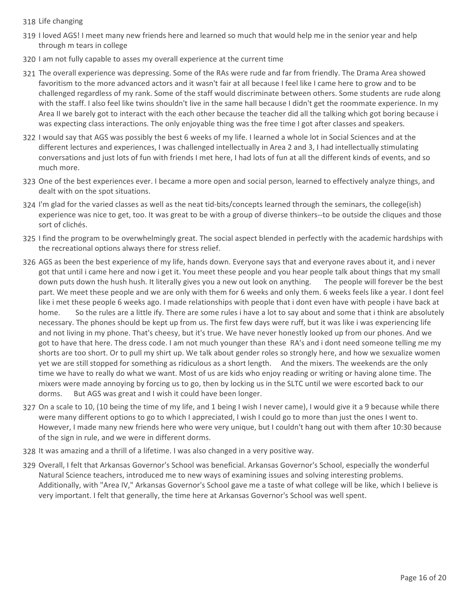- 318 Life changing
- 319 I loved AGS! I meet many new friends here and learned so much that would help me in the senior year and help through m tears in college
- 320 I am not fully capable to asses my overall experience at the current time
- 321 The overall experience was depressing. Some of the RAs were rude and far from friendly. The Drama Area showed favoritism to the more advanced actors and it wasn't fair at all because I feel like I came here to grow and to be challenged regardless of my rank. Some of the staff would discriminate between others. Some students are rude along with the staff. I also feel like twins shouldn't live in the same hall because I didn't get the roommate experience. In my Area II we barely got to interact with the each other because the teacher did all the talking which got boring because i was expecting class interactions. The only enjoyable thing was the free time I got after classes and speakers.
- 322 I would say that AGS was possibly the best 6 weeks of my life. I learned a whole lot in Social Sciences and at the different lectures and experiences, I was challenged intellectually in Area 2 and 3, I had intellectually stimulating conversations and just lots of fun with friends I met here, I had lots of fun at all the different kinds of events, and so much more.
- 323 One of the best experiences ever. I became a more open and social person, learned to effectively analyze things, and dealt with on the spot situations.
- 324 I'm glad for the varied classes as well as the neat tid-bits/concepts learned through the seminars, the college(ish) experience was nice to get, too. It was great to be with a group of diverse thinkers--to be outside the cliques and those sort of clichés.
- 325 I find the program to be overwhelmingly great. The social aspect blended in perfectly with the academic hardships with the recreational options always there for stress relief.
- 326 AGS as been the best experience of my life, hands down. Everyone says that and everyone raves about it, and i never got that until i came here and now i get it. You meet these people and you hear people talk about things that my small down puts down the hush hush. It literally gives you a new out look on anything. The people will forever be the best part. We meet these people and we are only with them for 6 weeks and only them. 6 weeks feels like a year. I dont feel like i met these people 6 weeks ago. I made relationships with people that i dont even have with people i have back at home. So the rules are a little ify. There are some rules i have a lot to say about and some that i think are absolutely necessary. The phones should be kept up from us. The first few days were ruff, but it was like i was experiencing life and not living in my phone. That's cheesy, but it's true. We have never honestly looked up from our phones. And we got to have that here. The dress code. I am not much younger than these RA's and i dont need someone telling me my shorts are too short. Or to pull my shirt up. We talk about gender roles so strongly here, and how we sexualize women yet we are still stopped for something as ridiculous as a short length. And the mixers. The weekends are the only time we have to really do what we want. Most of us are kids who enjoy reading or writing or having alone time. The mixers were made annoying by forcing us to go, then by locking us in the SLTC until we were escorted back to our dorms. But AGS was great and I wish it could have been longer.
- 327 On a scale to 10, (10 being the time of my life, and 1 being I wish I never came), I would give it a 9 because while there were many different options to go to which I appreciated, I wish I could go to more than just the ones I went to. However, I made many new friends here who were very unique, but I couldn't hang out with them after 10:30 because of the sign in rule, and we were in different dorms.
- 328 It was amazing and a thrill of a lifetime. I was also changed in a very positive way.
- 329 Overall, I felt that Arkansas Governor's School was beneficial. Arkansas Governor's School, especially the wonderful Natural Science teachers, introduced me to new ways of examining issues and solving interesting problems. Additionally, with "Area IV," Arkansas Governor's School gave me a taste of what college will be like, which I believe is very important. I felt that generally, the time here at Arkansas Governor's School was well spent.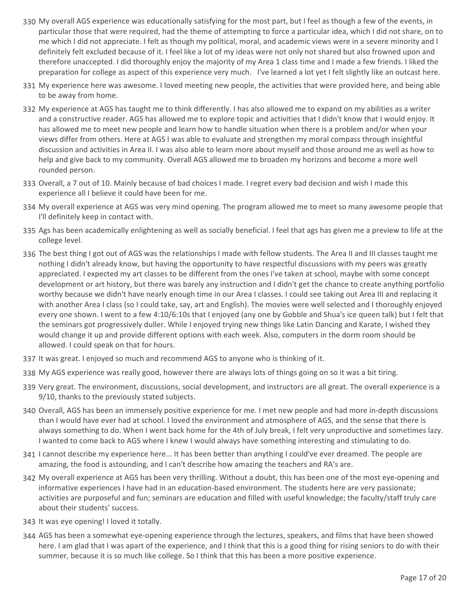- My overall AGS experience was educationally satisfying for the most part, but I feel as though a few of the events, in 330 particular those that were required, had the theme of attempting to force a particular idea, which I did not share, on to me which I did not appreciate. I felt as though my political, moral, and academic views were in a severe minority and I definitely felt excluded because of it. I feel like a lot of my ideas were not only not shared but also frowned upon and therefore unaccepted. I did thoroughly enjoy the majority of my Area 1 class time and I made a few friends. I liked the preparation for college as aspect of this experience very much. I've learned a lot yet I felt slightly like an outcast here.
- My experience here was awesome. I loved meeting new people, the activities that were provided here, and being able 331 to be away from home.
- My experience at AGS has taught me to think differently. I has also allowed me to expand on my abilities as a writer 332 and a constructive reader. AGS has allowed me to explore topic and activities that I didn't know that I would enjoy. It has allowed me to meet new people and learn how to handle situation when there is a problem and/or when your views differ from others. Here at AGS I was able to evaluate and strengthen my moral compass through insightful discussion and activities in Area II. I was also able to learn more about myself and those around me as well as how to help and give back to my community. Overall AGS allowed me to broaden my horizons and become a more well rounded person.
- 333 Overall, a 7 out of 10. Mainly because of bad choices I made. I regret every bad decision and wish I made this experience all I believe it could have been for me.
- My overall experience at AGS was very mind opening. The program allowed me to meet so many awesome people that 334 I'll definitely keep in contact with.
- 335 Ags has been academically enlightening as well as socially beneficial. I feel that ags has given me a preview to life at the college level.
- 336 The best thing I got out of AGS was the relationships I made with fellow students. The Area II and III classes taught me nothing I didn't already know, but having the opportunity to have respectful discussions with my peers was greatly appreciated. I expected my art classes to be different from the ones I've taken at school, maybe with some concept development or art history, but there was barely any instruction and I didn't get the chance to create anything portfolio worthy because we didn't have nearly enough time in our Area I classes. I could see taking out Area III and replacing it with another Area I class (so I could take, say, art and English). The movies were well selected and I thoroughly enjoyed every one shown. I went to a few 4:10/6:10s that I enjoyed (any one by Gobble and Shua's ice queen talk) but I felt that the seminars got progressively duller. While I enjoyed trying new things like Latin Dancing and Karate, I wished they would change it up and provide different options with each week. Also, computers in the dorm room should be allowed. I could speak on that for hours.
- 337 It was great. I enjoyed so much and recommend AGS to anyone who is thinking of it.
- 338 My AGS experience was really good, however there are always lots of things going on so it was a bit tiring.
- 339 Very great. The environment, discussions, social development, and instructors are all great. The overall experience is a 9/10, thanks to the previously stated subjects.
- Overall, AGS has been an immensely positive experience for me. I met new people and had more in-depth discussions 340 than I would have ever had at school. I loved the environment and atmosphere of AGS, and the sense that there is always something to do. When I went back home for the 4th of July break, I felt very unproductive and sometimes lazy. I wanted to come back to AGS where I knew I would always have something interesting and stimulating to do.
- 341 I cannot describe my experience here... It has been better than anything I could've ever dreamed. The people are amazing, the food is astounding, and I can't describe how amazing the teachers and RA's are.
- My overall experience at AGS has been very thrilling. Without a doubt, this has been one of the most eye-opening and 342 informative experiences I have had in an education-based environment. The students here are very passionate; activities are purposeful and fun; seminars are education and filled with useful knowledge; the faculty/staff truly care about their students' success.
- 343 It was eye opening! I loved it totally.
- AGS has been a somewhat eye-opening experience through the lectures, speakers, and films that have been showed 344 here. I am glad that I was apart of the experience, and I think that this is a good thing for rising seniors to do with their summer, because it is so much like college. So I think that this has been a more positive experience.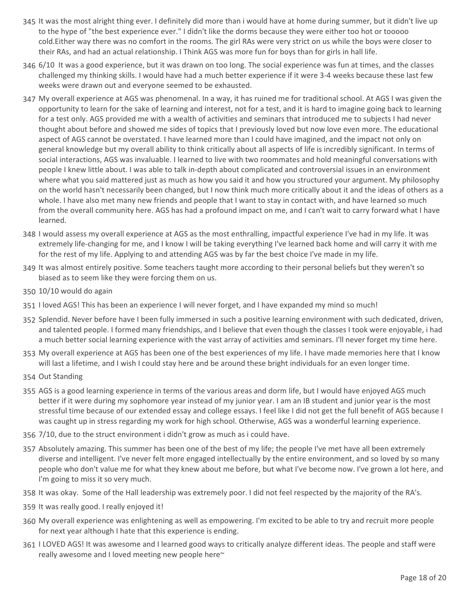- 345 It was the most alright thing ever. I definitely did more than i would have at home during summer, but it didn't live up to the hype of "the best experience ever." I didn't like the dorms because they were either too hot or tooooo cold.Either way there was no comfort in the rooms. The girl RAs were very strict on us while the boys were closer to their RAs, and had an actual relationship. I Think AGS was more fun for boys than for girls in hall life.
- 6/10 It was a good experience, but it was drawn on too long. The social experience was fun at times, and the classes 346 challenged my thinking skills. I would have had a much better experience if it were 3-4 weeks because these last few weeks were drawn out and everyone seemed to be exhausted.
- My overall experience at AGS was phenomenal. In a way, it has ruined me for traditional school. At AGS I was given the 347 opportunity to learn for the sake of learning and interest, not for a test, and it is hard to imagine going back to learning for a test only. AGS provided me with a wealth of activities and seminars that introduced me to subjects I had never thought about before and showed me sides of topics that I previously loved but now love even more. The educational aspect of AGS cannot be overstated. I have learned more than I could have imagined, and the impact not only on general knowledge but my overall ability to think critically about all aspects of life is incredibly significant. In terms of social interactions, AGS was invaluable. I learned to live with two roommates and hold meaningful conversations with people I knew little about. I was able to talk in-depth about complicated and controversial issues in an environment where what you said mattered just as much as how you said it and how you structured your argument. My philosophy on the world hasn't necessarily been changed, but I now think much more critically about it and the ideas of others as a whole. I have also met many new friends and people that I want to stay in contact with, and have learned so much from the overall community here. AGS has had a profound impact on me, and I can't wait to carry forward what I have learned.
- 348 I would assess my overall experience at AGS as the most enthralling, impactful experience I've had in my life. It was extremely life-changing for me, and I know I will be taking everything I've learned back home and will carry it with me for the rest of my life. Applying to and attending AGS was by far the best choice I've made in my life.
- 349 It was almost entirely positive. Some teachers taught more according to their personal beliefs but they weren't so biased as to seem like they were forcing them on us.
- 350 10/10 would do again
- 351 I loved AGS! This has been an experience I will never forget, and I have expanded my mind so much!
- 352 Splendid. Never before have I been fully immersed in such a positive learning environment with such dedicated, driven, and talented people. I formed many friendships, and I believe that even though the classes I took were enjoyable, i had a much better social learning experience with the vast array of activities amd seminars. I'll never forget my time here.
- My overall experience at AGS has been one of the best experiences of my life. I have made memories here that I know 353 will last a lifetime, and I wish I could stay here and be around these bright individuals for an even longer time.
- 354 Out Standing
- 355 AGS is a good learning experience in terms of the various areas and dorm life, but I would have enjoyed AGS much better if it were during my sophomore year instead of my junior year. I am an IB student and junior year is the most stressful time because of our extended essay and college essays. I feel like I did not get the full benefit of AGS because I was caught up in stress regarding my work for high school. Otherwise, AGS was a wonderful learning experience.
- 356 7/10, due to the struct environment i didn't grow as much as i could have.
- 357 Absolutely amazing. This summer has been one of the best of my life; the people I've met have all been extremely diverse and intelligent. I've never felt more engaged intellectually by the entire environment, and so loved by so many people who don't value me for what they knew about me before, but what I've become now. I've grown a lot here, and I'm going to miss it so very much.
- 358 It was okay. Some of the Hall leadership was extremely poor. I did not feel respected by the majority of the RA's.
- 359 It was really good. I really enjoyed it!
- My overall experience was enlightening as well as empowering. I'm excited to be able to try and recruit more people 360 for next year although I hate that this experience is ending.
- 361 I LOVED AGS! It was awesome and I learned good ways to critically analyze different ideas. The people and staff were really awesome and I loved meeting new people here~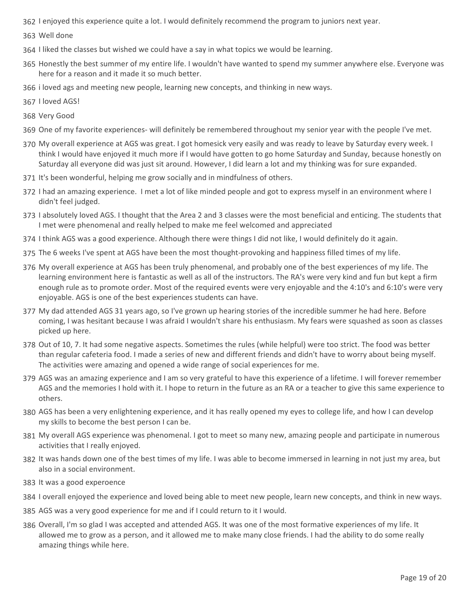- 362 I enjoyed this experience quite a lot. I would definitely recommend the program to juniors next year.
- 363 Well done
- 364 I liked the classes but wished we could have a say in what topics we would be learning.
- 365 Honestly the best summer of my entire life. I wouldn't have wanted to spend my summer anywhere else. Everyone was here for a reason and it made it so much better.
- 366 i loved ags and meeting new people, learning new concepts, and thinking in new ways.
- 367 I loved AGS!
- 368 Very Good
- 369 One of my favorite experiences- will definitely be remembered throughout my senior year with the people I've met.
- My overall experience at AGS was great. I got homesick very easily and was ready to leave by Saturday every week. I 370 think I would have enjoyed it much more if I would have gotten to go home Saturday and Sunday, because honestly on Saturday all everyone did was just sit around. However, I did learn a lot and my thinking was for sure expanded.
- 371 It's been wonderful, helping me grow socially and in mindfulness of others.
- 372 I had an amazing experience. I met a lot of like minded people and got to express myself in an environment where I didn't feel judged.
- 373 I absolutely loved AGS. I thought that the Area 2 and 3 classes were the most beneficial and enticing. The students that I met were phenomenal and really helped to make me feel welcomed and appreciated
- 374 I think AGS was a good experience. Although there were things I did not like, I would definitely do it again.
- 375 The 6 weeks I've spent at AGS have been the most thought-provoking and happiness filled times of my life.
- My overall experience at AGS has been truly phenomenal, and probably one of the best experiences of my life. The 376 learning environment here is fantastic as well as all of the instructors. The RA's were very kind and fun but kept a firm enough rule as to promote order. Most of the required events were very enjoyable and the 4:10's and 6:10's were very enjoyable. AGS is one of the best experiences students can have.
- My dad attended AGS 31 years ago, so I've grown up hearing stories of the incredible summer he had here. Before 377 coming, I was hesitant because I was afraid I wouldn't share his enthusiasm. My fears were squashed as soon as classes picked up here.
- 378 Out of 10, 7. It had some negative aspects. Sometimes the rules (while helpful) were too strict. The food was better than regular cafeteria food. I made a series of new and different friends and didn't have to worry about being myself. The activities were amazing and opened a wide range of social experiences for me.
- 379 AGS was an amazing experience and I am so very grateful to have this experience of a lifetime. I will forever remember AGS and the memories I hold with it. I hope to return in the future as an RA or a teacher to give this same experience to others.
- 380 AGS has been a very enlightening experience, and it has really opened my eyes to college life, and how I can develop my skills to become the best person I can be.
- My overall AGS experience was phenomenal. I got to meet so many new, amazing people and participate in numerous 381 activities that I really enjoyed.
- 382 It was hands down one of the best times of my life. I was able to become immersed in learning in not just my area, but also in a social environment.
- 383 It was a good experoence
- 384 I overall enjoyed the experience and loved being able to meet new people, learn new concepts, and think in new ways.
- 385 AGS was a very good experience for me and if I could return to it I would.
- 386 Overall, I'm so glad I was accepted and attended AGS. It was one of the most formative experiences of my life. It allowed me to grow as a person, and it allowed me to make many close friends. I had the ability to do some really amazing things while here.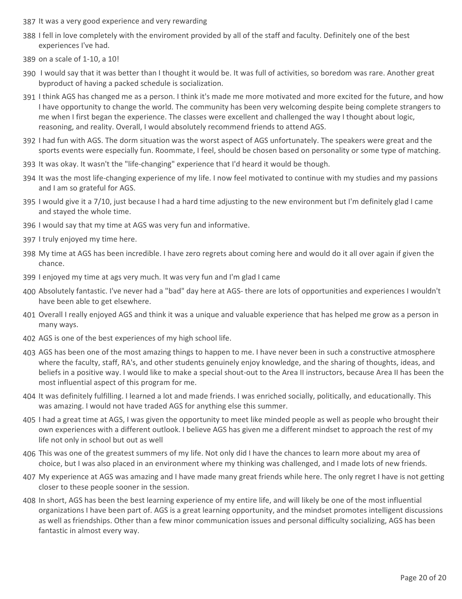- 387 It was a very good experience and very rewarding
- I fell in love completely with the enviroment provided by all of the staff and faculty. Definitely one of the best 388 experiences I've had.
- 389 on a scale of 1-10, a 10!
- 390 I would say that it was better than I thought it would be. It was full of activities, so boredom was rare. Another great byproduct of having a packed schedule is socialization.
- 391 I think AGS has changed me as a person. I think it's made me more motivated and more excited for the future, and how I have opportunity to change the world. The community has been very welcoming despite being complete strangers to me when I first began the experience. The classes were excellent and challenged the way I thought about logic, reasoning, and reality. Overall, I would absolutely recommend friends to attend AGS.
- 392 I had fun with AGS. The dorm situation was the worst aspect of AGS unfortunately. The speakers were great and the sports events were especially fun. Roommate, I feel, should be chosen based on personality or some type of matching.
- 393 It was okay. It wasn't the "life-changing" experience that I'd heard it would be though.
- 394 It was the most life-changing experience of my life. I now feel motivated to continue with my studies and my passions and I am so grateful for AGS.
- 395 I would give it a 7/10, just because I had a hard time adjusting to the new environment but I'm definitely glad I came and stayed the whole time.
- 396 I would say that my time at AGS was very fun and informative.
- 397 I truly enjoyed my time here.
- My time at AGS has been incredible. I have zero regrets about coming here and would do it all over again if given the 398 chance.
- 399 I enjoyed my time at ags very much. It was very fun and I'm glad I came
- Absolutely fantastic. I've never had a "bad" day here at AGS- there are lots of opportunities and experiences I wouldn't 400 have been able to get elsewhere.
- 401 Overall I really enjoyed AGS and think it was a unique and valuable experience that has helped me grow as a person in many ways.
- 402 AGS is one of the best experiences of my high school life.
- AGS has been one of the most amazing things to happen to me. I have never been in such a constructive atmosphere 403 where the faculty, staff, RA's, and other students genuinely enjoy knowledge, and the sharing of thoughts, ideas, and beliefs in a positive way. I would like to make a special shout-out to the Area II instructors, because Area II has been the most influential aspect of this program for me.
- 404 It was definitely fulfilling. I learned a lot and made friends. I was enriched socially, politically, and educationally. This was amazing. I would not have traded AGS for anything else this summer.
- 405 I had a great time at AGS, I was given the opportunity to meet like minded people as well as people who brought their own experiences with a different outlook. I believe AGS has given me a different mindset to approach the rest of my life not only in school but out as well
- 406 This was one of the greatest summers of my life. Not only did I have the chances to learn more about my area of choice, but I was also placed in an environment where my thinking was challenged, and I made lots of new friends.
- My experience at AGS was amazing and I have made many great friends while here. The only regret I have is not getting 407 closer to these people sooner in the session.
- 408 In short, AGS has been the best learning experience of my entire life, and will likely be one of the most influential organizations I have been part of. AGS is a great learning opportunity, and the mindset promotes intelligent discussions as well as friendships. Other than a few minor communication issues and personal difficulty socializing, AGS has been fantastic in almost every way.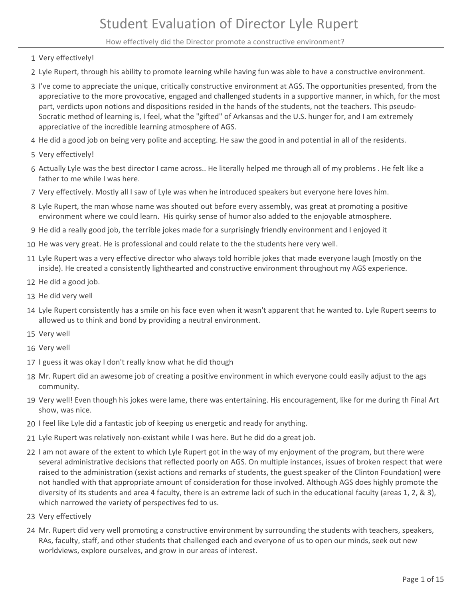How effectively did the Director promote a constructive environment?

- 1 Very effectively!
- 2 Lyle Rupert, through his ability to promote learning while having fun was able to have a constructive environment.
- 3 I've come to appreciate the unique, critically constructive environment at AGS. The opportunities presented, from the appreciative to the more provocative, engaged and challenged students in a supportive manner, in which, for the most part, verdicts upon notions and dispositions resided in the hands of the students, not the teachers. This pseudo-Socratic method of learning is, I feel, what the "gifted" of Arkansas and the U.S. hunger for, and I am extremely appreciative of the incredible learning atmosphere of AGS.
- 4 He did a good job on being very polite and accepting. He saw the good in and potential in all of the residents.
- 5 Very effectively!
- 6 Actually Lyle was the best director I came across.. He literally helped me through all of my problems . He felt like a father to me while I was here.
- 7 Very effectively. Mostly all I saw of Lyle was when he introduced speakers but everyone here loves him.
- Lyle Rupert, the man whose name was shouted out before every assembly, was great at promoting a positive 8 environment where we could learn. His quirky sense of humor also added to the enjoyable atmosphere.
- 9 He did a really good job, the terrible jokes made for a surprisingly friendly environment and I enjoyed it
- 10 He was very great. He is professional and could relate to the the students here very well.
- 11 Lyle Rupert was a very effective director who always told horrible jokes that made everyone laugh (mostly on the inside). He created a consistently lighthearted and constructive environment throughout my AGS experience.
- 12 He did a good job.
- 13 He did very well
- 14 Lyle Rupert consistently has a smile on his face even when it wasn't apparent that he wanted to. Lyle Rupert seems to allowed us to think and bond by providing a neutral environment.
- 15 Very well
- 16 Very well
- 17 I guess it was okay I don't really know what he did though
- Mr. Rupert did an awesome job of creating a positive environment in which everyone could easily adjust to the ags 18 community.
- 19 Very well! Even though his jokes were lame, there was entertaining. His encouragement, like for me during th Final Art show, was nice.
- 20 I feel like Lyle did a fantastic job of keeping us energetic and ready for anything.
- 21 Lyle Rupert was relatively non-existant while I was here. But he did do a great job.
- 22 I am not aware of the extent to which Lyle Rupert got in the way of my enjoyment of the program, but there were several administrative decisions that reflected poorly on AGS. On multiple instances, issues of broken respect that were raised to the administration (sexist actions and remarks of students, the guest speaker of the Clinton Foundation) were not handled with that appropriate amount of consideration for those involved. Although AGS does highly promote the diversity of its students and area 4 faculty, there is an extreme lack of such in the educational faculty (areas 1, 2, & 3), which narrowed the variety of perspectives fed to us.
- 23 Very effectively
- Mr. Rupert did very well promoting a constructive environment by surrounding the students with teachers, speakers, 24 RAs, faculty, staff, and other students that challenged each and everyone of us to open our minds, seek out new worldviews, explore ourselves, and grow in our areas of interest.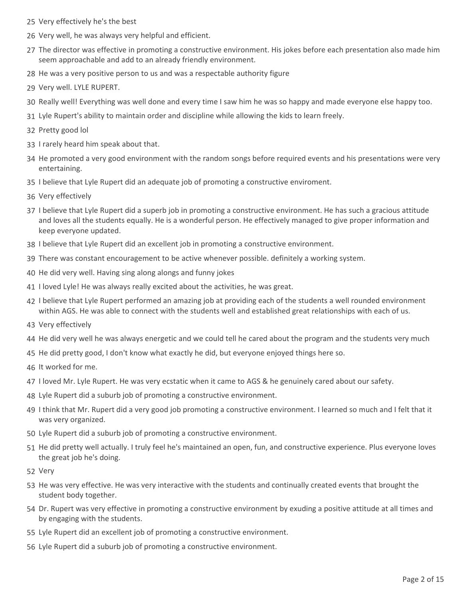- 25 Very effectively he's the best
- 26 Very well, he was always very helpful and efficient.
- 27 The director was effective in promoting a constructive environment. His jokes before each presentation also made him seem approachable and add to an already friendly environment.
- 28 He was a very positive person to us and was a respectable authority figure
- 29 Very well. LYLE RUPERT.
- 30 Really well! Everything was well done and every time I saw him he was so happy and made everyone else happy too.
- 31 Lyle Rupert's ability to maintain order and discipline while allowing the kids to learn freely.
- 32 Pretty good lol
- 33 I rarely heard him speak about that.
- 34 He promoted a very good environment with the random songs before required events and his presentations were very entertaining.
- 35 I believe that Lyle Rupert did an adequate job of promoting a constructive enviroment.
- 36 Very effectively
- 37 I believe that Lyle Rupert did a superb job in promoting a constructive environment. He has such a gracious attitude and loves all the students equally. He is a wonderful person. He effectively managed to give proper information and keep everyone updated.
- 38 I believe that Lyle Rupert did an excellent job in promoting a constructive environment.
- 39 There was constant encouragement to be active whenever possible. definitely a working system.
- 40 He did very well. Having sing along alongs and funny jokes
- 41 I loved Lyle! He was always really excited about the activities, he was great.
- 42 I believe that Lyle Rupert performed an amazing job at providing each of the students a well rounded environment within AGS. He was able to connect with the students well and established great relationships with each of us.
- 43 Very effectively
- 44 He did very well he was always energetic and we could tell he cared about the program and the students very much
- 45 He did pretty good, I don't know what exactly he did, but everyone enjoyed things here so.
- 46 It worked for me.
- 47 I loved Mr. Lyle Rupert. He was very ecstatic when it came to AGS & he genuinely cared about our safety.
- 48 Lyle Rupert did a suburb job of promoting a constructive environment.
- 49 I think that Mr. Rupert did a very good job promoting a constructive environment. I learned so much and I felt that it was very organized.
- 50 Lyle Rupert did a suburb job of promoting a constructive environment.
- 51 He did pretty well actually. I truly feel he's maintained an open, fun, and constructive experience. Plus everyone loves the great job he's doing.
- 52 Very
- 53 He was very effective. He was very interactive with the students and continually created events that brought the student body together.
- 54 Dr. Rupert was very effective in promoting a constructive environment by exuding a positive attitude at all times and by engaging with the students.
- 55 Lyle Rupert did an excellent job of promoting a constructive environment.
- 56 Lyle Rupert did a suburb job of promoting a constructive environment.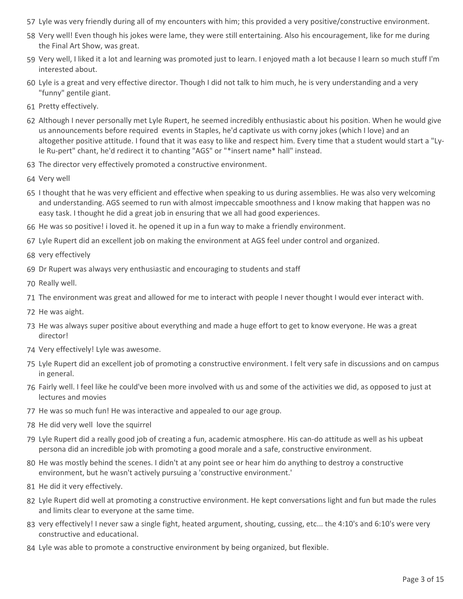- 57 Lyle was very friendly during all of my encounters with him; this provided a very positive/constructive environment.
- 58 Very well! Even though his jokes were lame, they were still entertaining. Also his encouragement, like for me during the Final Art Show, was great.
- 59 Very well, I liked it a lot and learning was promoted just to learn. I enjoyed math a lot because I learn so much stuff I'm interested about.
- 60 Lyle is a great and very effective director. Though I did not talk to him much, he is very understanding and a very "funny" gentile giant.
- 61 Pretty effectively.
- 62 Although I never personally met Lyle Rupert, he seemed incredibly enthusiastic about his position. When he would give us announcements before required events in Staples, he'd captivate us with corny jokes (which I love) and an altogether positive attitude. I found that it was easy to like and respect him. Every time that a student would start a "Lyle Ru-pert" chant, he'd redirect it to chanting "AGS" or "\*insert name\* hall" instead.
- 63 The director very effectively promoted a constructive environment.
- 64 Very well
- 65 I thought that he was very efficient and effective when speaking to us during assemblies. He was also very welcoming and understanding. AGS seemed to run with almost impeccable smoothness and I know making that happen was no easy task. I thought he did a great job in ensuring that we all had good experiences.
- 66 He was so positive! i loved it. he opened it up in a fun way to make a friendly environment.
- 67 Lyle Rupert did an excellent job on making the environment at AGS feel under control and organized.
- 68 very effectively
- 69 Dr Rupert was always very enthusiastic and encouraging to students and staff
- 70 Really well.
- 71 The environment was great and allowed for me to interact with people I never thought I would ever interact with.
- 72 He was aight.
- 73 He was always super positive about everything and made a huge effort to get to know everyone. He was a great director!
- 74 Very effectively! Lyle was awesome.
- 75 Lyle Rupert did an excellent job of promoting a constructive environment. I felt very safe in discussions and on campus in general.
- 76 Fairly well. I feel like he could've been more involved with us and some of the activities we did, as opposed to just at lectures and movies
- 77 He was so much fun! He was interactive and appealed to our age group.
- 78 He did very well love the squirrel
- 79 Lyle Rupert did a really good job of creating a fun, academic atmosphere. His can-do attitude as well as his upbeat persona did an incredible job with promoting a good morale and a safe, constructive environment.
- 80 He was mostly behind the scenes. I didn't at any point see or hear him do anything to destroy a constructive environment, but he wasn't actively pursuing a 'constructive environment.'
- 81 He did it very effectively.
- 82 Lyle Rupert did well at promoting a constructive environment. He kept conversations light and fun but made the rules and limits clear to everyone at the same time.
- 83 very effectively! I never saw a single fight, heated argument, shouting, cussing, etc... the 4:10's and 6:10's were very constructive and educational.
- 84 Lyle was able to promote a constructive environment by being organized, but flexible.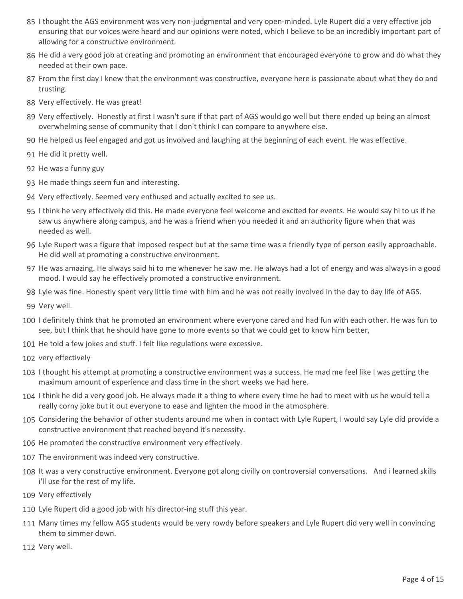- 85 I thought the AGS environment was very non-judgmental and very open-minded. Lyle Rupert did a very effective job ensuring that our voices were heard and our opinions were noted, which I believe to be an incredibly important part of allowing for a constructive environment.
- 86 He did a very good job at creating and promoting an environment that encouraged everyone to grow and do what they needed at their own pace.
- 87 From the first day I knew that the environment was constructive, everyone here is passionate about what they do and trusting.
- 88 Very effectively. He was great!
- 89 Very effectively. Honestly at first I wasn't sure if that part of AGS would go well but there ended up being an almost overwhelming sense of community that I don't think I can compare to anywhere else.
- 90 He helped us feel engaged and got us involved and laughing at the beginning of each event. He was effective.
- 91 He did it pretty well.
- 92 He was a funny guy
- 93 He made things seem fun and interesting.
- 94 Very effectively. Seemed very enthused and actually excited to see us.
- 95 I think he very effectively did this. He made everyone feel welcome and excited for events. He would say hi to us if he saw us anywhere along campus, and he was a friend when you needed it and an authority figure when that was needed as well.
- 96 Lyle Rupert was a figure that imposed respect but at the same time was a friendly type of person easily approachable. He did well at promoting a constructive environment.
- 97 He was amazing. He always said hi to me whenever he saw me. He always had a lot of energy and was always in a good mood. I would say he effectively promoted a constructive environment.
- 98 Lyle was fine. Honestly spent very little time with him and he was not really involved in the day to day life of AGS.
- 99 Very well.
- 100 I definitely think that he promoted an environment where everyone cared and had fun with each other. He was fun to see, but I think that he should have gone to more events so that we could get to know him better,
- 101 He told a few jokes and stuff. I felt like regulations were excessive.
- 102 very effectively
- 103 I thought his attempt at promoting a constructive environment was a success. He mad me feel like I was getting the maximum amount of experience and class time in the short weeks we had here.
- 104 I think he did a very good job. He always made it a thing to where every time he had to meet with us he would tell a really corny joke but it out everyone to ease and lighten the mood in the atmosphere.
- 105 Considering the behavior of other students around me when in contact with Lyle Rupert, I would say Lyle did provide a constructive environment that reached beyond it's necessity.
- 106 He promoted the constructive environment very effectively.
- 107 The environment was indeed very constructive.
- 108 It was a very constructive environment. Everyone got along civilly on controversial conversations. And i learned skills i'll use for the rest of my life.
- 109 Very effectively
- 110 Lyle Rupert did a good job with his director-ing stuff this year.
- Many times my fellow AGS students would be very rowdy before speakers and Lyle Rupert did very well in convincing 111 them to simmer down.
- 112 Very well.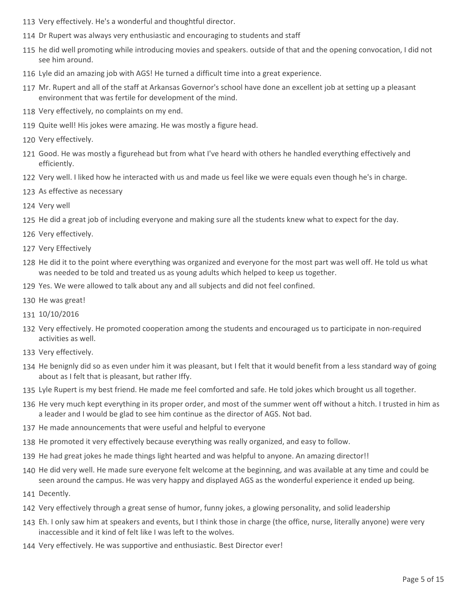- 113 Very effectively. He's a wonderful and thoughtful director.
- 114 Dr Rupert was always very enthusiastic and encouraging to students and staff
- 115 he did well promoting while introducing movies and speakers. outside of that and the opening convocation, I did not see him around.
- 116 Lyle did an amazing job with AGS! He turned a difficult time into a great experience.
- Mr. Rupert and all of the staff at Arkansas Governor's school have done an excellent job at setting up a pleasant 117 environment that was fertile for development of the mind.
- 118 Very effectively, no complaints on my end.
- 119 Quite well! His jokes were amazing. He was mostly a figure head.
- 120 Very effectively.
- Good. He was mostly a figurehead but from what I've heard with others he handled everything effectively and 121 efficiently.
- 122 Very well. I liked how he interacted with us and made us feel like we were equals even though he's in charge.
- 123 As effective as necessary
- 124 Very well
- 125 He did a great job of including everyone and making sure all the students knew what to expect for the day.
- 126 Very effectively.
- 127 Very Effectively
- 128 He did it to the point where everything was organized and everyone for the most part was well off. He told us what was needed to be told and treated us as young adults which helped to keep us together.
- 129 Yes. We were allowed to talk about any and all subjects and did not feel confined.
- 130 He was great!
- 131 10/10/2016
- 132 Very effectively. He promoted cooperation among the students and encouraged us to participate in non-required activities as well.
- 133 Very effectively.
- 134 He benignly did so as even under him it was pleasant, but I felt that it would benefit from a less standard way of going about as I felt that is pleasant, but rather Iffy.
- 135 Lyle Rupert is my best friend. He made me feel comforted and safe. He told jokes which brought us all together.
- 136 He very much kept everything in its proper order, and most of the summer went off without a hitch. I trusted in him as a leader and I would be glad to see him continue as the director of AGS. Not bad.
- 137 He made announcements that were useful and helpful to everyone
- 138 He promoted it very effectively because everything was really organized, and easy to follow.
- 139 He had great jokes he made things light hearted and was helpful to anyone. An amazing director!!
- 140 He did very well. He made sure everyone felt welcome at the beginning, and was available at any time and could be seen around the campus. He was very happy and displayed AGS as the wonderful experience it ended up being.
- 141 Decently.
- 142 Very effectively through a great sense of humor, funny jokes, a glowing personality, and solid leadership
- 143 Eh. I only saw him at speakers and events, but I think those in charge (the office, nurse, literally anyone) were very inaccessible and it kind of felt like I was left to the wolves.
- 144 Very effectively. He was supportive and enthusiastic. Best Director ever!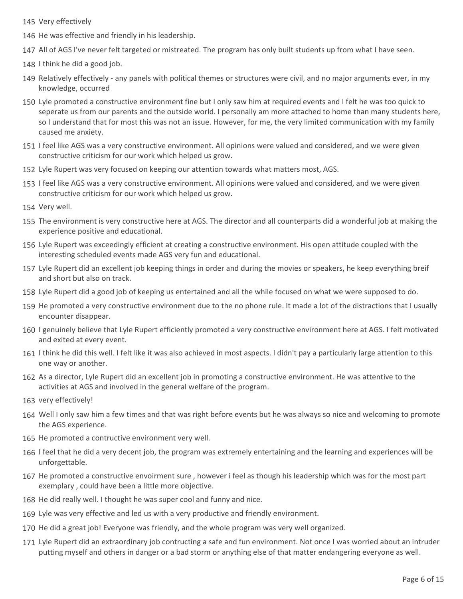- 145 Very effectively
- 146 He was effective and friendly in his leadership.
- 147 All of AGS I've never felt targeted or mistreated. The program has only built students up from what I have seen.
- 148 I think he did a good job.
- 149 Relatively effectively any panels with political themes or structures were civil, and no major arguments ever, in my knowledge, occurred
- Lyle promoted a constructive environment fine but I only saw him at required events and I felt he was too quick to 150 seperate us from our parents and the outside world. I personally am more attached to home than many students here, so I understand that for most this was not an issue. However, for me, the very limited communication with my family caused me anxiety.
- 151 I feel like AGS was a very constructive environment. All opinions were valued and considered, and we were given constructive criticism for our work which helped us grow.
- 152 Lyle Rupert was very focused on keeping our attention towards what matters most, AGS.
- 153 I feel like AGS was a very constructive environment. All opinions were valued and considered, and we were given constructive criticism for our work which helped us grow.
- 154 Very well.
- 155 The environment is very constructive here at AGS. The director and all counterparts did a wonderful job at making the experience positive and educational.
- 156 Lyle Rupert was exceedingly efficient at creating a constructive environment. His open attitude coupled with the interesting scheduled events made AGS very fun and educational.
- 157 Lyle Rupert did an excellent job keeping things in order and during the movies or speakers, he keep everything breif and short but also on track.
- 158 Lyle Rupert did a good job of keeping us entertained and all the while focused on what we were supposed to do.
- 159 He promoted a very constructive environment due to the no phone rule. It made a lot of the distractions that I usually encounter disappear.
- 160 I genuinely believe that Lyle Rupert efficiently promoted a very constructive environment here at AGS. I felt motivated and exited at every event.
- 161 I think he did this well. I felt like it was also achieved in most aspects. I didn't pay a particularly large attention to this one way or another.
- 162 As a director, Lyle Rupert did an excellent job in promoting a constructive environment. He was attentive to the activities at AGS and involved in the general welfare of the program.
- 163 very effectively!
- 164 Well I only saw him a few times and that was right before events but he was always so nice and welcoming to promote the AGS experience.
- 165 He promoted a contructive environment very well.
- 166 I feel that he did a very decent job, the program was extremely entertaining and the learning and experiences will be unforgettable.
- 167 He promoted a constructive envoirment sure, however i feel as though his leadership which was for the most part exemplary , could have been a little more objective.
- 168 He did really well. I thought he was super cool and funny and nice.
- 169 Lyle was very effective and led us with a very productive and friendly environment.
- 170 He did a great job! Everyone was friendly, and the whole program was very well organized.
- 171 Lyle Rupert did an extraordinary job contructing a safe and fun environment. Not once I was worried about an intruder putting myself and others in danger or a bad storm or anything else of that matter endangering everyone as well.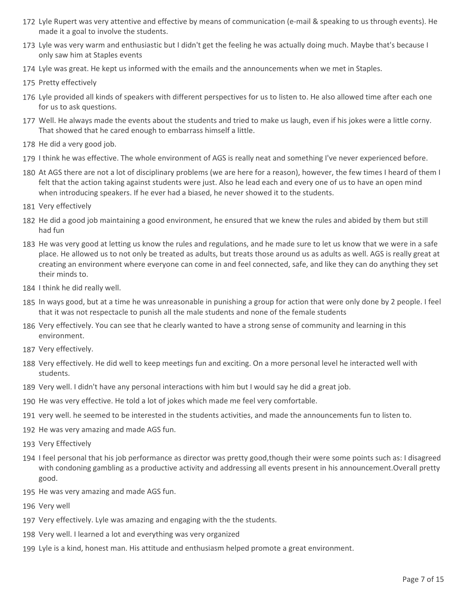- Lyle Rupert was very attentive and effective by means of communication (e-mail & speaking to us through events). He 172 made it a goal to involve the students.
- 173 Lyle was very warm and enthusiastic but I didn't get the feeling he was actually doing much. Maybe that's because I only saw him at Staples events
- 174 Lyle was great. He kept us informed with the emails and the announcements when we met in Staples.
- 175 Pretty effectively
- 176 Lyle provided all kinds of speakers with different perspectives for us to listen to. He also allowed time after each one for us to ask questions.
- Well. He always made the events about the students and tried to make us laugh, even if his jokes were a little corny. 177 That showed that he cared enough to embarrass himself a little.
- 178 He did a very good job.
- 179 I think he was effective. The whole environment of AGS is really neat and something I've never experienced before.
- 180 At AGS there are not a lot of disciplinary problems (we are here for a reason), however, the few times I heard of them I felt that the action taking against students were just. Also he lead each and every one of us to have an open mind when introducing speakers. If he ever had a biased, he never showed it to the students.
- 181 Very effectively
- 182 He did a good job maintaining a good environment, he ensured that we knew the rules and abided by them but still had fun
- 183 He was very good at letting us know the rules and regulations, and he made sure to let us know that we were in a safe place. He allowed us to not only be treated as adults, but treats those around us as adults as well. AGS is really great at creating an environment where everyone can come in and feel connected, safe, and like they can do anything they set their minds to.
- 184 I think he did really well.
- 185 In ways good, but at a time he was unreasonable in punishing a group for action that were only done by 2 people. I feel that it was not respectacle to punish all the male students and none of the female students
- 186 Very effectively. You can see that he clearly wanted to have a strong sense of community and learning in this environment.
- 187 Very effectively.
- 188 Very effectively. He did well to keep meetings fun and exciting. On a more personal level he interacted well with students.
- 189 Very well. I didn't have any personal interactions with him but I would say he did a great job.
- 190 He was very effective. He told a lot of jokes which made me feel very comfortable.
- 191 very well. he seemed to be interested in the students activities, and made the announcements fun to listen to.
- 192 He was very amazing and made AGS fun.
- 193 Very Effectively
- 194 I feel personal that his job performance as director was pretty good,though their were some points such as: I disagreed with condoning gambling as a productive activity and addressing all events present in his announcement.Overall pretty good.
- 195 He was very amazing and made AGS fun.
- 196 Very well
- 197 Very effectively. Lyle was amazing and engaging with the the students.
- 198 Very well. I learned a lot and everything was very organized
- 199 Lyle is a kind, honest man. His attitude and enthusiasm helped promote a great environment.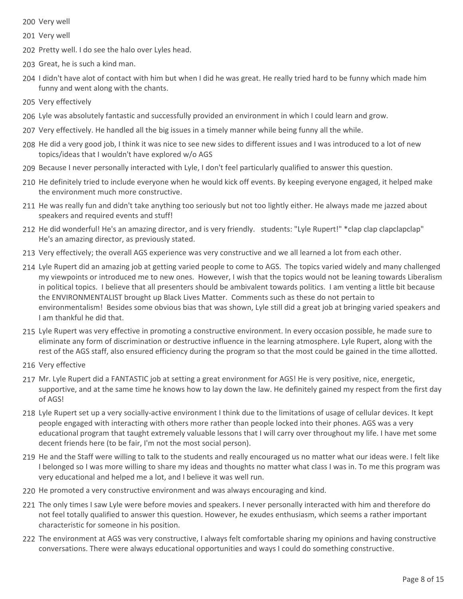- 200 Very well
- 201 Very well
- 202 Pretty well. I do see the halo over Lyles head.
- 203 Great, he is such a kind man.
- 204 I didn't have alot of contact with him but when I did he was great. He really tried hard to be funny which made him funny and went along with the chants.
- 205 Very effectively
- 206 Lyle was absolutely fantastic and successfully provided an environment in which I could learn and grow.
- 207 Very effectively. He handled all the big issues in a timely manner while being funny all the while.
- 208 He did a very good job, I think it was nice to see new sides to different issues and I was introduced to a lot of new topics/ideas that I wouldn't have explored w/o AGS
- 209 Because I never personally interacted with Lyle, I don't feel particularly qualified to answer this question.
- 210 He definitely tried to include everyone when he would kick off events. By keeping everyone engaged, it helped make the environment much more constructive.
- 211 He was really fun and didn't take anything too seriously but not too lightly either. He always made me jazzed about speakers and required events and stuff!
- 212 He did wonderful! He's an amazing director, and is very friendly. students: "Lyle Rupert!" \*clap clap clapclapclap" He's an amazing director, as previously stated.
- 213 Very effectively; the overall AGS experience was very constructive and we all learned a lot from each other.
- 214 Lyle Rupert did an amazing job at getting varied people to come to AGS. The topics varied widely and many challenged my viewpoints or introduced me to new ones. However, I wish that the topics would not be leaning towards Liberalism in political topics. I believe that all presenters should be ambivalent towards politics. I am venting a little bit because the ENVIRONMENTALIST brought up Black Lives Matter. Comments such as these do not pertain to environmentalism! Besides some obvious bias that was shown, Lyle still did a great job at bringing varied speakers and I am thankful he did that.
- 215 Lyle Rupert was very effective in promoting a constructive environment. In every occasion possible, he made sure to eliminate any form of discrimination or destructive influence in the learning atmosphere. Lyle Rupert, along with the rest of the AGS staff, also ensured efficiency during the program so that the most could be gained in the time allotted.
- 216 Very effective
- Mr. Lyle Rupert did a FANTASTIC job at setting a great environment for AGS! He is very positive, nice, energetic, 217 supportive, and at the same time he knows how to lay down the law. He definitely gained my respect from the first day of AGS!
- 218 Lyle Rupert set up a very socially-active environment I think due to the limitations of usage of cellular devices. It kept people engaged with interacting with others more rather than people locked into their phones. AGS was a very educational program that taught extremely valuable lessons that I will carry over throughout my life. I have met some decent friends here (to be fair, I'm not the most social person).
- 219 He and the Staff were willing to talk to the students and really encouraged us no matter what our ideas were. I felt like I belonged so I was more willing to share my ideas and thoughts no matter what class I was in. To me this program was very educational and helped me a lot, and I believe it was well run.
- 220 He promoted a very constructive environment and was always encouraging and kind.
- 221 The only times I saw Lyle were before movies and speakers. I never personally interacted with him and therefore do not feel totally qualified to answer this question. However, he exudes enthusiasm, which seems a rather important characteristic for someone in his position.
- 222 The environment at AGS was very constructive, I always felt comfortable sharing my opinions and having constructive conversations. There were always educational opportunities and ways I could do something constructive.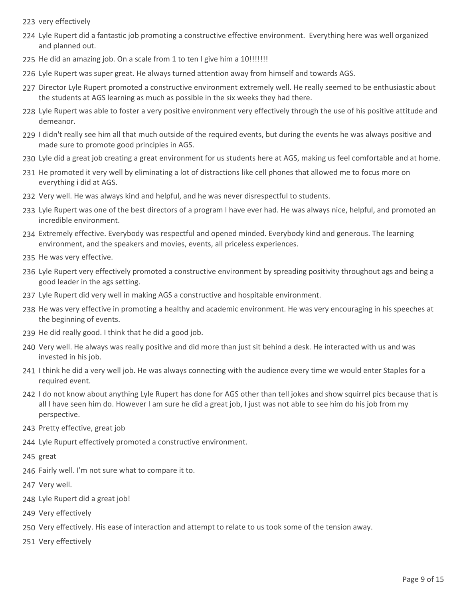- 223 very effectively
- Lyle Rupert did a fantastic job promoting a constructive effective environment. Everything here was well organized 224 and planned out.
- 225 He did an amazing job. On a scale from 1 to ten I give him a 10!!!!!!!
- 226 Lyle Rupert was super great. He always turned attention away from himself and towards AGS.
- 227 Director Lyle Rupert promoted a constructive environment extremely well. He really seemed to be enthusiastic about the students at AGS learning as much as possible in the six weeks they had there.
- 228 Lyle Rupert was able to foster a very positive environment very effectively through the use of his positive attitude and demeanor.
- 229 I didn't really see him all that much outside of the required events, but during the events he was always positive and made sure to promote good principles in AGS.
- 230 Lyle did a great job creating a great environment for us students here at AGS, making us feel comfortable and at home.
- 231 He promoted it very well by eliminating a lot of distractions like cell phones that allowed me to focus more on everything i did at AGS.
- 232 Very well. He was always kind and helpful, and he was never disrespectful to students.
- 233 Lyle Rupert was one of the best directors of a program I have ever had. He was always nice, helpful, and promoted an incredible environment.
- 234 Extremely effective. Everybody was respectful and opened minded. Everybody kind and generous. The learning environment, and the speakers and movies, events, all priceless experiences.
- 235 He was very effective.
- Lyle Rupert very effectively promoted a constructive environment by spreading positivity throughout ags and being a 236 good leader in the ags setting.
- 237 Lyle Rupert did very well in making AGS a constructive and hospitable environment.
- 238 He was very effective in promoting a healthy and academic environment. He was very encouraging in his speeches at the beginning of events.
- 239 He did really good. I think that he did a good job.
- 240 Very well. He always was really positive and did more than just sit behind a desk. He interacted with us and was invested in his job.
- 241 I think he did a very well job. He was always connecting with the audience every time we would enter Staples for a required event.
- 242 I do not know about anything Lyle Rupert has done for AGS other than tell jokes and show squirrel pics because that is all I have seen him do. However I am sure he did a great job, I just was not able to see him do his job from my perspective.
- 243 Pretty effective, great job
- 244 Lyle Rupurt effectively promoted a constructive environment.
- 245 great
- 246 Fairly well. I'm not sure what to compare it to.
- 247 Very well.
- 248 Lyle Rupert did a great job!
- 249 Very effectively
- 250 Very effectively. His ease of interaction and attempt to relate to us took some of the tension away.
- 251 Very effectively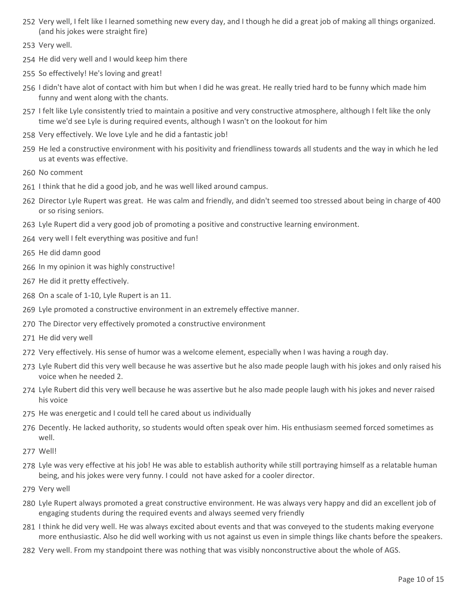- 252 Very well, I felt like I learned something new every day, and I though he did a great job of making all things organized. (and his jokes were straight fire)
- 253 Very well.
- 254 He did very well and I would keep him there
- 255 So effectively! He's loving and great!
- 256 I didn't have alot of contact with him but when I did he was great. He really tried hard to be funny which made him funny and went along with the chants.
- 257 I felt like Lyle consistently tried to maintain a positive and very constructive atmosphere, although I felt like the only time we'd see Lyle is during required events, although I wasn't on the lookout for him
- 258 Very effectively. We love Lyle and he did a fantastic job!
- 259 He led a constructive environment with his positivity and friendliness towards all students and the way in which he led us at events was effective.
- 260 No comment
- 261 I think that he did a good job, and he was well liked around campus.
- 262 Director Lyle Rupert was great. He was calm and friendly, and didn't seemed too stressed about being in charge of 400 or so rising seniors.
- 263 Lyle Rupert did a very good job of promoting a positive and constructive learning environment.
- 264 very well I felt everything was positive and fun!
- 265 He did damn good
- 266 In my opinion it was highly constructive!
- 267 He did it pretty effectively.
- 268 On a scale of 1-10, Lyle Rupert is an 11.
- 269 Lyle promoted a constructive environment in an extremely effective manner.
- 270 The Director very effectively promoted a constructive environment
- 271 He did very well
- 272 Very effectively. His sense of humor was a welcome element, especially when I was having a rough day.
- 273 Lyle Rubert did this very well because he was assertive but he also made people laugh with his jokes and only raised his voice when he needed 2.
- 274 Lyle Rubert did this very well because he was assertive but he also made people laugh with his jokes and never raised his voice
- 275 He was energetic and I could tell he cared about us individually
- 276 Decently. He lacked authority, so students would often speak over him. His enthusiasm seemed forced sometimes as well.
- 277 Well!
- 278 Lyle was very effective at his job! He was able to establish authority while still portraying himself as a relatable human being, and his jokes were very funny. I could not have asked for a cooler director.
- 279 Very well
- Lyle Rupert always promoted a great constructive environment. He was always very happy and did an excellent job of 280 engaging students during the required events and always seemed very friendly
- 281 I think he did very well. He was always excited about events and that was conveyed to the students making everyone more enthusiastic. Also he did well working with us not against us even in simple things like chants before the speakers.
- 282 Very well. From my standpoint there was nothing that was visibly nonconstructive about the whole of AGS.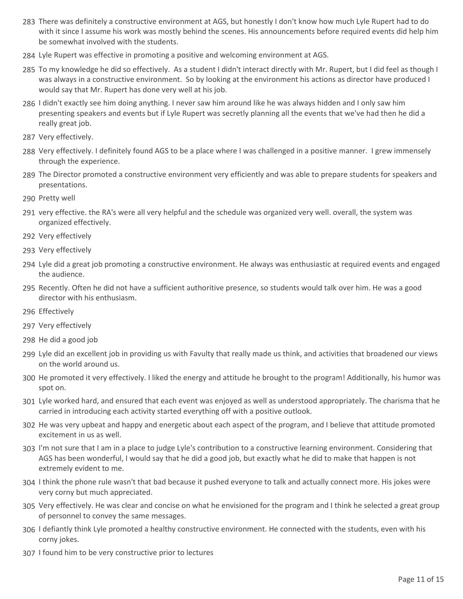- There was definitely a constructive environment at AGS, but honestly I don't know how much Lyle Rupert had to do 283 with it since I assume his work was mostly behind the scenes. His announcements before required events did help him be somewhat involved with the students.
- 284 Lyle Rupert was effective in promoting a positive and welcoming environment at AGS.
- 285 To my knowledge he did so effectively. As a student I didn't interact directly with Mr. Rupert, but I did feel as though I was always in a constructive environment. So by looking at the environment his actions as director have produced I would say that Mr. Rupert has done very well at his job.
- 286 I didn't exactly see him doing anything. I never saw him around like he was always hidden and I only saw him presenting speakers and events but if Lyle Rupert was secretly planning all the events that we've had then he did a really great job.
- 287 Very effectively.
- 288 Very effectively. I definitely found AGS to be a place where I was challenged in a positive manner. I grew immensely through the experience.
- 289 The Director promoted a constructive environment very efficiently and was able to prepare students for speakers and presentations.
- 290 Pretty well
- 291 very effective. the RA's were all very helpful and the schedule was organized very well. overall, the system was organized effectively.
- 292 Very effectively
- 293 Very effectively
- Lyle did a great job promoting a constructive environment. He always was enthusiastic at required events and engaged 294 the audience.
- 295 Recently. Often he did not have a sufficient authoritive presence, so students would talk over him. He was a good director with his enthusiasm.
- 296 Effectively
- 297 Very effectively
- 298 He did a good job
- Lyle did an excellent job in providing us with Favulty that really made us think, and activities that broadened our views 299 on the world around us.
- 300 He promoted it very effectively. I liked the energy and attitude he brought to the program! Additionally, his humor was spot on.
- 301 Lyle worked hard, and ensured that each event was enjoyed as well as understood appropriately. The charisma that he carried in introducing each activity started everything off with a positive outlook.
- 302 He was very upbeat and happy and energetic about each aspect of the program, and I believe that attitude promoted excitement in us as well.
- 303 I'm not sure that I am in a place to judge Lyle's contribution to a constructive learning environment. Considering that AGS has been wonderful, I would say that he did a good job, but exactly what he did to make that happen is not extremely evident to me.
- 304 I think the phone rule wasn't that bad because it pushed everyone to talk and actually connect more. His jokes were very corny but much appreciated.
- 305 Very effectively. He was clear and concise on what he envisioned for the program and I think he selected a great group of personnel to convey the same messages.
- I defiantly think Lyle promoted a healthy constructive environment. He connected with the students, even with his 306 corny jokes.
- 307 I found him to be very constructive prior to lectures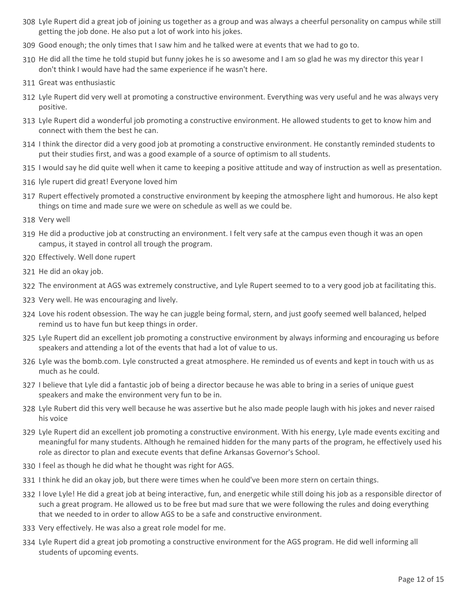- Lyle Rupert did a great job of joining us together as a group and was always a cheerful personality on campus while still 308 getting the job done. He also put a lot of work into his jokes.
- 309 Good enough; the only times that I saw him and he talked were at events that we had to go to.
- 310 He did all the time he told stupid but funny jokes he is so awesome and I am so glad he was my director this year I don't think I would have had the same experience if he wasn't here.
- 311 Great was enthusiastic
- 312 Lyle Rupert did very well at promoting a constructive environment. Everything was very useful and he was always very positive.
- 313 Lyle Rupert did a wonderful job promoting a constructive environment. He allowed students to get to know him and connect with them the best he can.
- 314 I think the director did a very good job at promoting a constructive environment. He constantly reminded students to put their studies first, and was a good example of a source of optimism to all students.
- 315 I would say he did quite well when it came to keeping a positive attitude and way of instruction as well as presentation.
- 316 lyle rupert did great! Everyone loved him
- 317 Rupert effectively promoted a constructive environment by keeping the atmosphere light and humorous. He also kept things on time and made sure we were on schedule as well as we could be.
- 318 Very well
- 319 He did a productive job at constructing an environment. I felt very safe at the campus even though it was an open campus, it stayed in control all trough the program.
- 320 Effectively. Well done rupert
- 321 He did an okay job.
- 322 The environment at AGS was extremely constructive, and Lyle Rupert seemed to to a very good job at facilitating this.
- 323 Very well. He was encouraging and lively.
- 324 Love his rodent obsession. The way he can juggle being formal, stern, and just goofy seemed well balanced, helped remind us to have fun but keep things in order.
- 325 Lyle Rupert did an excellent job promoting a constructive environment by always informing and encouraging us before speakers and attending a lot of the events that had a lot of value to us.
- 326 Lyle was the bomb.com. Lyle constructed a great atmosphere. He reminded us of events and kept in touch with us as much as he could.
- 327 I believe that Lyle did a fantastic job of being a director because he was able to bring in a series of unique guest speakers and make the environment very fun to be in.
- Lyle Rubert did this very well because he was assertive but he also made people laugh with his jokes and never raised 328 his voice
- 329 Lyle Rupert did an excellent job promoting a constructive environment. With his energy, Lyle made events exciting and meaningful for many students. Although he remained hidden for the many parts of the program, he effectively used his role as director to plan and execute events that define Arkansas Governor's School.
- 330 I feel as though he did what he thought was right for AGS.
- 331 I think he did an okay job, but there were times when he could've been more stern on certain things.
- 332 I love Lyle! He did a great job at being interactive, fun, and energetic while still doing his job as a responsible director of such a great program. He allowed us to be free but mad sure that we were following the rules and doing everything that we needed to in order to allow AGS to be a safe and constructive environment.
- 333 Very effectively. He was also a great role model for me.
- 334 Lyle Rupert did a great job promoting a constructive environment for the AGS program. He did well informing all students of upcoming events.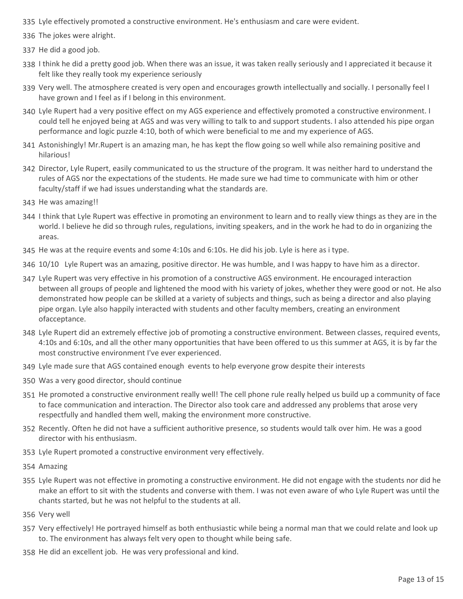- 335 Lyle effectively promoted a constructive environment. He's enthusiasm and care were evident.
- 336 The jokes were alright.
- 337 He did a good job.
- 338 I think he did a pretty good job. When there was an issue, it was taken really seriously and I appreciated it because it felt like they really took my experience seriously
- 339 Very well. The atmosphere created is very open and encourages growth intellectually and socially. I personally feel I have grown and I feel as if I belong in this environment.
- Lyle Rupert had a very positive effect on my AGS experience and effectively promoted a constructive environment. I 340 could tell he enjoyed being at AGS and was very willing to talk to and support students. I also attended his pipe organ performance and logic puzzle 4:10, both of which were beneficial to me and my experience of AGS.
- 341 Astonishingly! Mr.Rupert is an amazing man, he has kept the flow going so well while also remaining positive and hilarious!
- 342 Director, Lyle Rupert, easily communicated to us the structure of the program. It was neither hard to understand the rules of AGS nor the expectations of the students. He made sure we had time to communicate with him or other faculty/staff if we had issues understanding what the standards are.
- 343 He was amazing!!
- 344 I think that Lyle Rupert was effective in promoting an environment to learn and to really view things as they are in the world. I believe he did so through rules, regulations, inviting speakers, and in the work he had to do in organizing the areas.
- 345 He was at the require events and some 4:10s and 6:10s. He did his job. Lyle is here as i type.
- 346 10/10 Lyle Rupert was an amazing, positive director. He was humble, and I was happy to have him as a director.
- Lyle Rupert was very effective in his promotion of a constructive AGS environment. He encouraged interaction 347 between all groups of people and lightened the mood with his variety of jokes, whether they were good or not. He also demonstrated how people can be skilled at a variety of subjects and things, such as being a director and also playing pipe organ. Lyle also happily interacted with students and other faculty members, creating an environment ofacceptance.
- Lyle Rupert did an extremely effective job of promoting a constructive environment. Between classes, required events, 348 4:10s and 6:10s, and all the other many opportunities that have been offered to us this summer at AGS, it is by far the most constructive environment I've ever experienced.
- 349 Lyle made sure that AGS contained enough events to help everyone grow despite their interests
- 350 Was a very good director, should continue
- 351 He promoted a constructive environment really well! The cell phone rule really helped us build up a community of face to face communication and interaction. The Director also took care and addressed any problems that arose very respectfully and handled them well, making the environment more constructive.
- 352 Recently. Often he did not have a sufficient authoritive presence, so students would talk over him. He was a good director with his enthusiasm.
- 353 Lyle Rupert promoted a constructive environment very effectively.
- 354 Amazing
- 355 Lyle Rupert was not effective in promoting a constructive environment. He did not engage with the students nor did he make an effort to sit with the students and converse with them. I was not even aware of who Lyle Rupert was until the chants started, but he was not helpful to the students at all.
- 356 Very well
- 357 Very effectively! He portrayed himself as both enthusiastic while being a normal man that we could relate and look up to. The environment has always felt very open to thought while being safe.
- 358 He did an excellent job. He was very professional and kind.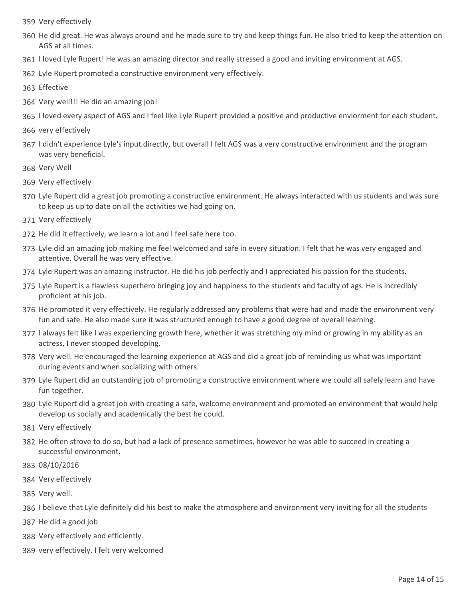- 359 Very effectively
- 360 He did great. He was always around and he made sure to try and keep things fun. He also tried to keep the attention on AGS at all times.
- 361 I loved Lyle Rupert! He was an amazing director and really stressed a good and inviting environment at AGS.
- 362 Lyle Rupert promoted a constructive environment very effectively.
- 363 Effective
- 364 Very well!!! He did an amazing job!
- 365 I loved every aspect of AGS and I feel like Lyle Rupert provided a positive and productive enviorment for each student.
- 366 very effectively
- 367 I didn't experience Lyle's input directly, but overall I felt AGS was a very constructive environment and the program was very beneficial.
- 368 Very Well
- 369 Very effectively
- 370 Lyle Rupert did a great job promoting a constructive environment. He always interacted with us students and was sure to keep us up to date on all the activities we had going on.
- 371 Very effectively
- 372 He did it effectively, we learn a lot and I feel safe here too.
- Lyle did an amazing job making me feel welcomed and safe in every situation. I felt that he was very engaged and 373 attentive. Overall he was very effective.
- 374 Lyle Rupert was an amazing instructor. He did his job perfectly and I appreciated his passion for the students.
- 375 Lyle Rupert is a flawless superhero bringing joy and happiness to the students and faculty of ags. He is incredibly proficient at his job.
- 376 He promoted it very effectively. He regularly addressed any problems that were had and made the environment very fun and safe. He also made sure it was structured enough to have a good degree of overall learning.
- 377 I always felt like I was experiencing growth here, whether it was stretching my mind or growing in my ability as an actress, I never stopped developing.
- 378 Very well. He encouraged the learning experience at AGS and did a great job of reminding us what was important during events and when socializing with others.
- Lyle Rupert did an outstanding job of promoting a constructive environment where we could all safely learn and have 379 fun together.
- Lyle Rupert did a great job with creating a safe, welcome environment and promoted an environment that would help 380 develop us socially and academically the best he could.
- 381 Very effectively
- 382 He often strove to do so, but had a lack of presence sometimes, however he was able to succeed in creating a successful environment.
- 383 08/10/2016
- 384 Very effectively
- 385 Very well.
- 386 I believe that Lyle definitely did his best to make the atmosphere and environment very inviting for all the students
- 387 He did a good job
- 388 Very effectively and efficiently.
- 389 very effectively. I felt very welcomed